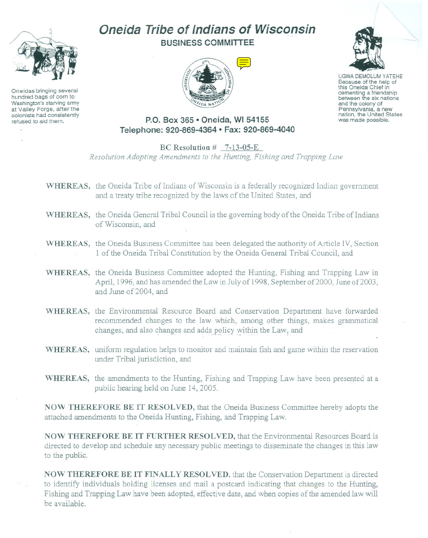

Oneidas bringing several hundred bags of corn to Washington's starving army at Valley Forge, after the colonists had consistently refused to aid thern.

J,

# **Oneida Tribe of Indians of Wisconsin BUSINESS COMMITTEE**





UGWA DEMOLUM YATEHE Because of the help of this Oneida Chief in cementing <sup>a</sup> friendship between the six nations and the colony of<br>Pennsylvania, a new nation, the United States<br>was made possible.

**P.O. Box 365· Oneida, WI 54155 Telephone: 920-869-4364 • Fax: 920-869-4040**

BC Resolution # 7-13-05-E *Resolution Adopting Amendments* to the *Hunting*, *Fishing* and *Trapping* Law

- WHEREAS, the Oneida Tribe of Indians of Wisconsin is a federally recognized Indian government and a treaty tribe recognized by the laws of the United States, and
- WHEREAS, the Oneida General Tribal Council is the governing body of the Oneida Tribe of Indians of Wisconsin, and
- WHEREAS, the Oneida Business Committee has been delegated the authority of Article IV, Section 1 of the Oneida Tribal Constitution by the Oneida General Tribal Council, and
- WHEREAS, the Oneida Business Committee adopted the Hunting, Fishing and Trapping Law in April, 1996, and has amended the Law in July of 1998, September of 2000, June of 2003, and June of 2004, and
- WHEREAS, the Environmental Resource Board and Conservation Department have forwarded recommended changes to the law which, among other things, makes grammatical changes, and also changes and adds policy within the Law, and
- WHEREAS, uniform regulation helps to monitor and maintain fish and game within the reservation under Tribal jurisdiction, and
- WHEREAS, the amendments to the Hunting, Fishing and Trapping Law have been presented at a public hearing held on June 14,2005.

NOW THEREFORE BE **IT** RESOLVED, that the Oneida Business Committee hereby adopts the attached amendments to the Oneida Hunting, Fishing, and Trapping Law.

NOW THEREFORE BE **IT** FURTHER RESOLVED, that the Environmental Resources Board is directed to develop and schedule any necessary public meetings to disseminate the changes in this law to the public.

NOW THEREFORE BE **IT** FIN ALL Y RESOLVED, that the Conservation Department is directed to identify individuals holding licenses and mail a postcard indicating that changes to the Hunting, Fishing and Trapping Law have been adopted, effective date, and when copies of the amended law will be available.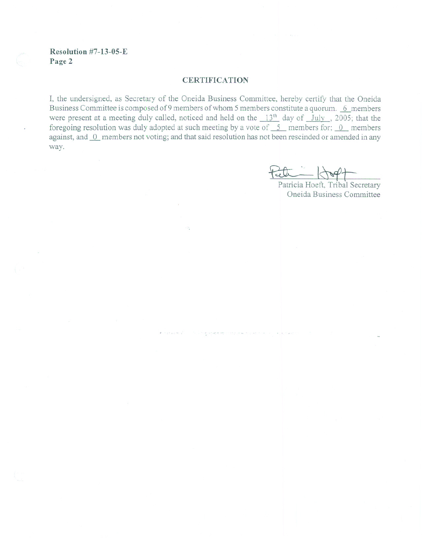#### **Resolution #7-13-05- E Page 2**

#### **CERTIFICATION**

I, the undersigned, as Secretary of the Oneida Business Committee, hereby certify that the Oneida Business Committee is composed of 9 members of whom 5 members constitute a quorum. ~6 members were present at a meeting duly called, noticed and held on the  $13<sup>th</sup>$  day of July , 2005; that the foregoing resolution was duly adopted at such meeting by a vote of  $\overline{\phantom{0}}$  members for; 0\_ members against, and 0 members not voting; and that said resolution has not been rescinded or amended in any way.

Peell

Patricia Hoeft, Tribal Secretary Oneida Business Committee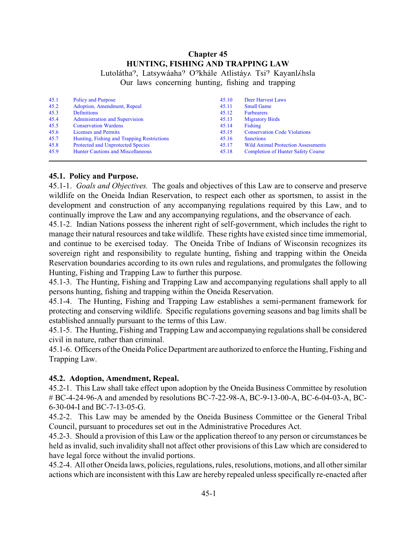# **Chapter 45 HUNTING, FISHING AND TRAPPING LAW**

Lutolátha<sup>2</sup>, Latsywáaha<sup>2</sup> O<sup>2</sup>khále Atlistáy ATsi<sup>2</sup> Kayanláhsla Our laws concerning hunting, fishing and trapping

| 45.1 | Policy and Purpose                         | 45.10 | Deer Harvest Laws                         |
|------|--------------------------------------------|-------|-------------------------------------------|
| 45.2 | Adoption, Amendment, Repeal                | 45.11 | <b>Small Game</b>                         |
| 45.3 | <b>Definitions</b>                         | 45.12 | <b>Furbearers</b>                         |
| 45.4 | <b>Administration and Supervision</b>      | 45.13 | <b>Migratory Birds</b>                    |
| 45.5 | <b>Conservation Wardens</b>                | 45.14 | Fishing                                   |
| 45.6 | <b>Licenses and Permits</b>                | 45.15 | <b>Conservation Code Violations</b>       |
| 45.7 | Hunting, Fishing and Trapping Restrictions | 45.16 | <b>Sanctions</b>                          |
| 45.8 | <b>Protected and Unprotected Species</b>   | 45.17 | <b>Wild Animal Protection Assessments</b> |
| 45.9 | <b>Hunter Cautions and Miscellaneous</b>   | 45.18 | <b>Completion of Hunter Safety Course</b> |

# <span id="page-2-0"></span>**45.1. Policy and Purpose.**

45.1-1. *Goals and Objectives.* The goals and objectives of this Law are to conserve and preserve wildlife on the Oneida Indian Reservation, to respect each other as sportsmen, to assist in the development and construction of any accompanying regulations required by this Law, and to continually improve the Law and any accompanying regulations, and the observance of each.

45.1-2. Indian Nations possess the inherent right of self-government, which includes the right to manage their natural resources and take wildlife. These rights have existed since time immemorial, and continue to be exercised today. The Oneida Tribe of Indians of Wisconsin recognizes its sovereign right and responsibility to regulate hunting, fishing and trapping within the Oneida Reservation boundaries according to its own rules and regulations, and promulgates the following Hunting, Fishing and Trapping Law to further this purpose.

45.1-3. The Hunting, Fishing and Trapping Law and accompanying regulations shall apply to all persons hunting, fishing and trapping within the Oneida Reservation.

45.1-4. The Hunting, Fishing and Trapping Law establishes a semi-permanent framework for protecting and conserving wildlife. Specific regulations governing seasons and bag limits shall be established annually pursuant to the terms of this Law.

45.1-5. The Hunting, Fishing and Trapping Law and accompanying regulations shall be considered civil in nature, rather than criminal.

45.1-6. Officers of the Oneida Police Department are authorized to enforce the Hunting, Fishing and Trapping Law.

#### <span id="page-2-1"></span>**45.2. Adoption, Amendment, Repeal.**

45.2-1. This Law shall take effect upon adoption by the Oneida Business Committee by resolution # BC-4-24-96-A and amended by resolutions BC-7-22-98-A, BC-9-13-00-A, BC-6-04-03-A, BC-6-30-04-I and BC-7-13-05-G.

45.2-2. This Law may be amended by the Oneida Business Committee or the General Tribal Council, pursuant to procedures set out in the Administrative Procedures Act.

45.2-3. Should a provision of this Law or the application thereof to any person or circumstances be held as invalid, such invalidity shall not affect other provisions of this Law which are considered to have legal force without the invalid portions.

45.2-4. All other Oneida laws, policies, regulations, rules, resolutions, motions, and all other similar actions which are inconsistent with this Law are hereby repealed unless specifically re-enacted after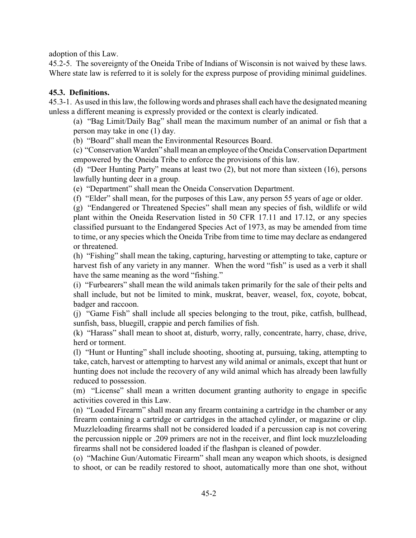adoption of this Law.

45.2-5. The sovereignty of the Oneida Tribe of Indians of Wisconsin is not waived by these laws. Where state law is referred to it is solely for the express purpose of providing minimal guidelines.

# <span id="page-3-0"></span>**45.3. Definitions.**

45.3-1. As used in this law, the following words and phrases shall each have the designated meaning unless a different meaning is expressly provided or the context is clearly indicated.

(a) "Bag Limit/Daily Bag" shall mean the maximum number of an animal or fish that a person may take in one (1) day.

(b) "Board" shall mean the Environmental Resources Board.

(c) "Conservation Warden" shall mean an employee of the Oneida Conservation Department empowered by the Oneida Tribe to enforce the provisions of this law.

(d) "Deer Hunting Party" means at least two (2), but not more than sixteen (16), persons lawfully hunting deer in a group.

(e) "Department" shall mean the Oneida Conservation Department.

(f) "Elder" shall mean, for the purposes of this Law, any person 55 years of age or older.

(g) "Endangered or Threatened Species" shall mean any species of fish, wildlife or wild plant within the Oneida Reservation listed in 50 CFR 17.11 and 17.12, or any species classified pursuant to the Endangered Species Act of 1973, as may be amended from time to time, or any species which the Oneida Tribe from time to time may declare as endangered or threatened.

(h) "Fishing" shall mean the taking, capturing, harvesting or attempting to take, capture or harvest fish of any variety in any manner. When the word "fish" is used as a verb it shall have the same meaning as the word "fishing."

(i) "Furbearers" shall mean the wild animals taken primarily for the sale of their pelts and shall include, but not be limited to mink, muskrat, beaver, weasel, fox, coyote, bobcat, badger and raccoon.

(j) "Game Fish" shall include all species belonging to the trout, pike, catfish, bullhead, sunfish, bass, bluegill, crappie and perch families of fish.

(k) "Harass" shall mean to shoot at, disturb, worry, rally, concentrate, harry, chase, drive, herd or torment.

(l) "Hunt or Hunting" shall include shooting, shooting at, pursuing, taking, attempting to take, catch, harvest or attempting to harvest any wild animal or animals, except that hunt or hunting does not include the recovery of any wild animal which has already been lawfully reduced to possession.

(m) "License" shall mean a written document granting authority to engage in specific activities covered in this Law.

(n) "Loaded Firearm" shall mean any firearm containing a cartridge in the chamber or any firearm containing a cartridge or cartridges in the attached cylinder, or magazine or clip. Muzzleloading firearms shall not be considered loaded if a percussion cap is not covering the percussion nipple or .209 primers are not in the receiver, and flint lock muzzleloading firearms shall not be considered loaded if the flashpan is cleaned of powder.

(o) "Machine Gun/Automatic Firearm" shall mean any weapon which shoots, is designed to shoot, or can be readily restored to shoot, automatically more than one shot, without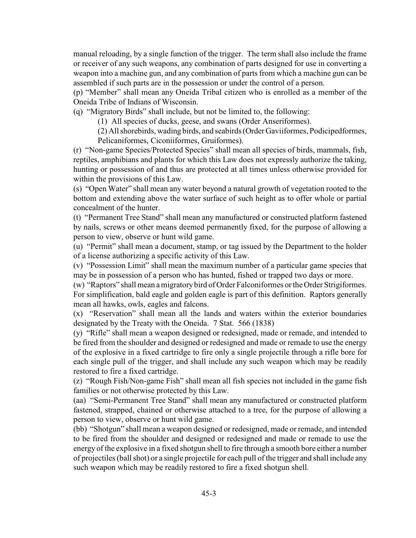manual reloading, by a single function of the trigger. The term shall also include the frame or receiver of any such weapons, any combination of parts designed for use in converting a weapon into a machine gun, and any combination of parts from which a machine gun can be assembled if such parts are in the possession or under the control of a person.

(p) "Member" shall mean any Oneida Tribal citizen who is enrolled as a member of the Oneida Tribe of Indians of Wisconsin.

(q) "Migratory Birds" shall include, but not be limited to, the following:

(1) All species of ducks, geese, and swans (Order Anseriformes).

(2) All shorebirds, wading birds, and seabirds (Order Gaviiformes, Podicipedformes, Pelicaniformes, Ciconiiformes, Gruiformes).

(r) "Non-game Species/Protected Species" shall mean all species of birds, mammals, fish, reptiles, amphibians and plants for which this Law does not expressly authorize the taking, hunting or possession of and thus are protected at all times unless otherwise provided for within the provisions of this Law.

(s) "Open Water" shall mean any water beyond a natural growth of vegetation rooted to the bottom and extending above the water surface of such height as to offer whole or partial concealment of the hunter.

(t) "Permanent Tree Stand" shall mean any manufactured or constructed platform fastened by nails, screws or other means deemed permanently fixed, for the purpose of allowing a person to view, observe or hunt wild game.

(u) "Permit" shall mean a document, stamp, or tag issued by the Department to the holder of a license authorizing a specific activity of this Law.

(v) "Possession Limit" shall mean the maximum number of a particular game species that may be in possession of a person who has hunted, fished or trapped two days or more.

(w) "Raptors" shall mean a migratory bird of Order Falconiformes or the Order Strigiformes. For simplification, bald eagle and golden eagle is part of this definition. Raptors generally mean all hawks, owls, eagles and falcons.

(x) "Reservation" shall mean all the lands and waters within the exterior boundaries designated by the Treaty with the Oneida. 7 Stat. 566 (1838)

(y) "Rifle" shall mean a weapon designed or redesigned, made or remade, and intended to be fired from the shoulder and designed or redesigned and made or remade to use the energy of the explosive in a fixed cartridge to fire only a single projectile through a rifle bore for each single pull of the trigger, and shall include any such weapon which may be readily restored to fire a fixed cartridge.

(z) "Rough Fish/Non-game Fish" shall mean all fish species not included in the game fish families or not otherwise protected by this Law.

(aa) "Semi-Permanent Tree Stand" shall mean any manufactured or constructed platform fastened, strapped, chained or otherwise attached to a tree, for the purpose of allowing a person to view, observe or hunt wild game.

(bb) "Shotgun" shall mean a weapon designed or redesigned, made or remade, and intended to be fired from the shoulder and designed or redesigned and made or remade to use the energy of the explosive in a fixed shotgun shell to fire through a smooth bore either a number of projectiles (ball shot) or a single projectile for each pull of the trigger and shall include any such weapon which may be readily restored to fire a fixed shotgun shell.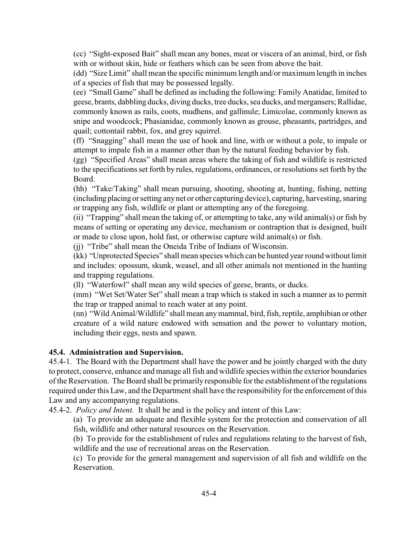(cc) "Sight-exposed Bait" shall mean any bones, meat or viscera of an animal, bird, or fish with or without skin, hide or feathers which can be seen from above the bait.

(dd) "Size Limit" shall mean the specific minimum length and/or maximum length in inches of a species of fish that may be possessed legally.

(ee) "Small Game" shall be defined as including the following: Family Anatidae, limited to geese, brants, dabbling ducks, diving ducks, tree ducks, sea ducks, and mergansers; Rallidae, commonly known as rails, coots, mudhens, and gallinule; Limicolae, commonly known as snipe and woodcock; Phasianidae, commonly known as grouse, pheasants, partridges, and quail; cottontail rabbit, fox, and grey squirrel.

(ff) "Snagging" shall mean the use of hook and line, with or without a pole, to impale or attempt to impale fish in a manner other than by the natural feeding behavior by fish.

(gg) "Specified Areas" shall mean areas where the taking of fish and wildlife is restricted to the specifications set forth by rules, regulations, ordinances, or resolutions set forth by the Board.

(hh) "Take/Taking" shall mean pursuing, shooting, shooting at, hunting, fishing, netting (including placing or setting any net or other capturing device), capturing, harvesting, snaring or trapping any fish, wildlife or plant or attempting any of the foregoing.

(ii) "Trapping" shall mean the taking of, or attempting to take, any wild animal(s) or fish by means of setting or operating any device, mechanism or contraption that is designed, built or made to close upon, hold fast, or otherwise capture wild animal(s) or fish.

(jj) "Tribe" shall mean the Oneida Tribe of Indians of Wisconsin.

(kk) "Unprotected Species" shall mean species which can be hunted year round without limit and includes: opossum, skunk, weasel, and all other animals not mentioned in the hunting and trapping regulations.

(ll) "Waterfowl" shall mean any wild species of geese, brants, or ducks.

(mm) "Wet Set/Water Set" shall mean a trap which is staked in such a manner as to permit the trap or trapped animal to reach water at any point.

(nn) "Wild Animal/Wildlife" shall mean anymammal, bird, fish, reptile, amphibian or other creature of a wild nature endowed with sensation and the power to voluntary motion, including their eggs, nests and spawn.

#### <span id="page-5-0"></span>**45.4. Administration and Supervision.**

45.4-1. The Board with the Department shall have the power and be jointly charged with the duty to protect, conserve, enhance and manage all fish and wildlife species within the exterior boundaries of the Reservation. The Board shall be primarily responsible for the establishment of the regulations required under this Law, and the Department shall have the responsibility for the enforcement of this Law and any accompanying regulations.

45.4-2. *Policy and Intent.* It shall be and is the policy and intent of this Law:

(a) To provide an adequate and flexible system for the protection and conservation of all fish, wildlife and other natural resources on the Reservation.

(b) To provide for the establishment of rules and regulations relating to the harvest of fish,

wildlife and the use of recreational areas on the Reservation.

(c) To provide for the general management and supervision of all fish and wildlife on the Reservation.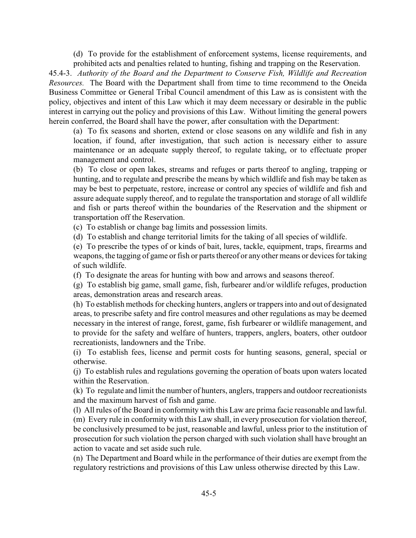(d) To provide for the establishment of enforcement systems, license requirements, and prohibited acts and penalties related to hunting, fishing and trapping on the Reservation.

45.4-3. *Authority of the Board and the Department to Conserve Fish, Wildlife and Recreation Resources.* The Board with the Department shall from time to time recommend to the Oneida Business Committee or General Tribal Council amendment of this Law as is consistent with the policy, objectives and intent of this Law which it may deem necessary or desirable in the public interest in carrying out the policy and provisions of this Law. Without limiting the general powers herein conferred, the Board shall have the power, after consultation with the Department:

(a) To fix seasons and shorten, extend or close seasons on any wildlife and fish in any location, if found, after investigation, that such action is necessary either to assure maintenance or an adequate supply thereof, to regulate taking, or to effectuate proper management and control.

(b) To close or open lakes, streams and refuges or parts thereof to angling, trapping or hunting, and to regulate and prescribe the means by which wildlife and fish may be taken as may be best to perpetuate, restore, increase or control any species of wildlife and fish and assure adequate supply thereof, and to regulate the transportation and storage of all wildlife and fish or parts thereof within the boundaries of the Reservation and the shipment or transportation off the Reservation.

(c) To establish or change bag limits and possession limits.

(d) To establish and change territorial limits for the taking of all species of wildlife.

(e) To prescribe the types of or kinds of bait, lures, tackle, equipment, traps, firearms and weapons, the tagging of game or fish or parts thereof or any other means or devices for taking of such wildlife.

(f) To designate the areas for hunting with bow and arrows and seasons thereof.

(g) To establish big game, small game, fish, furbearer and/or wildlife refuges, production areas, demonstration areas and research areas.

(h) To establish methods for checking hunters, anglers or trappers into and out of designated areas, to prescribe safety and fire control measures and other regulations as may be deemed necessary in the interest of range, forest, game, fish furbearer or wildlife management, and to provide for the safety and welfare of hunters, trappers, anglers, boaters, other outdoor recreationists, landowners and the Tribe.

(i) To establish fees, license and permit costs for hunting seasons, general, special or otherwise.

(j) To establish rules and regulations governing the operation of boats upon waters located within the Reservation.

(k) To regulate and limit the number of hunters, anglers, trappers and outdoor recreationists and the maximum harvest of fish and game.

(l) All rules of the Board in conformity with this Law are prima facie reasonable and lawful. (m) Every rule in conformity with this Law shall, in every prosecution for violation thereof, be conclusively presumed to be just, reasonable and lawful, unless prior to the institution of prosecution for such violation the person charged with such violation shall have brought an action to vacate and set aside such rule.

(n) The Department and Board while in the performance of their duties are exempt from the regulatory restrictions and provisions of this Law unless otherwise directed by this Law.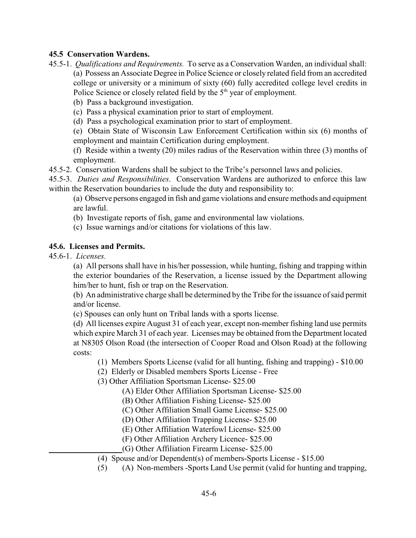# <span id="page-7-0"></span>**45.5 Conservation Wardens.**

- 45.5-1.*Qualifications and Requirements.*To serve as a Conservation Warden, an individual shall: (a) Possess an Associate Degree in Police Science or closely related field from an accredited college or university or a minimum of sixty (60) fully accredited college level credits in Police Science or closely related field by the  $5<sup>th</sup>$  year of employment.
	- (b) Pass a background investigation.
	- (c) Pass a physical examination prior to start of employment.
	- (d) Pass a psychological examination prior to start of employment.

(e) Obtain State of Wisconsin Law Enforcement Certification within six (6) months of employment and maintain Certification during employment.

(f) Reside within a twenty (20) miles radius of the Reservation within three (3) months of employment.

45.5-2. Conservation Wardens shall be subject to the Tribe's personnel laws and policies.

45.5-3. *Duties and Responsibilities*. Conservation Wardens are authorized to enforce this law within the Reservation boundaries to include the duty and responsibility to:

(a) Observe persons engaged in fish and game violations and ensure methods and equipment are lawful.

- (b) Investigate reports of fish, game and environmental law violations.
- (c) Issue warnings and/or citations for violations of this law.

#### <span id="page-7-1"></span>**45.6. Licenses and Permits.**

45.6-1. *Licenses.*

(a) All persons shall have in his/her possession, while hunting, fishing and trapping within the exterior boundaries of the Reservation, a license issued by the Department allowing him/her to hunt, fish or trap on the Reservation.

(b) An administrative charge shall be determined by the Tribe for the issuance of said permit and/or license.

(c) Spouses can only hunt on Tribal lands with a sports license.

(d) All licenses expire August 31 of each year, except non-member fishing land use permits which expire March 31 of each year. Licenses may be obtained from the Department located at N8305 Olson Road (the intersection of Cooper Road and Olson Road) at the following costs:

- (1) Members Sports License (valid for all hunting, fishing and trapping) \$10.00
- (2) Elderly or Disabled members Sports License Free
- (3) Other Affiliation Sportsman License- \$25.00
	- (A) Elder Other Affiliation Sportsman License- \$25.00
	- (B) Other Affiliation Fishing License- \$25.00
	- (C) Other Affiliation Small Game License- \$25.00
	- (D) Other Affiliation Trapping License- \$25.00
	- (E) Other Affiliation Waterfowl License- \$25.00
	- (F) Other Affiliation Archery Licence- \$25.00
	- (G) Other Affiliation Firearm License- \$25.00
- (4) Spouse and/or Dependent(s) of members-Sports License \$15.00
- (5) (A) Non-members -Sports Land Use permit (valid for hunting and trapping,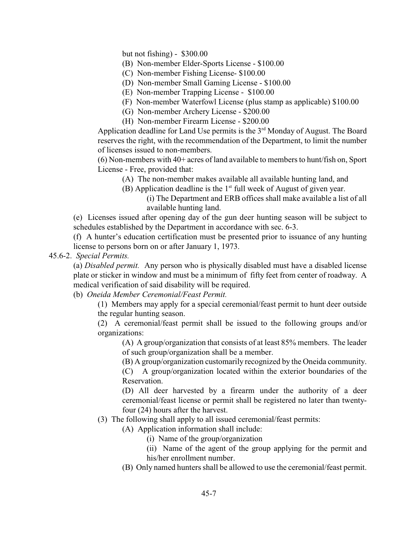but not fishing) -  $$300.00$ 

- (B) Non-member Elder-Sports License \$100.00
- (C) Non-member Fishing License- \$100.00
- (D) Non-member Small Gaming License \$100.00
- (E) Non-member Trapping License \$100.00
- (F) Non-member Waterfowl License (plus stamp as applicable) \$100.00
- (G) Non-member Archery License \$200.00
- (H) Non-member Firearm License \$200.00

Application deadline for Land Use permits is the  $3<sup>rd</sup>$  Monday of August. The Board reserves the right, with the recommendation of the Department, to limit the number of licenses issued to non-members.

(6) Non-members with 40+ acres of land available to members to hunt/fish on, Sport License - Free, provided that:

(A) The non-member makes available all available hunting land, and

(B) Application deadline is the  $1<sup>st</sup>$  full week of August of given year.

(i) The Department and ERB offices shall make available a list of all available hunting land.

(e) Licenses issued after opening day of the gun deer hunting season will be subject to schedules established by the Department in accordance with sec. 6-3.

(f) A hunter's education certification must be presented prior to issuance of any hunting license to persons born on or after January 1, 1973.

#### 45.6-2. *Special Permits.*

(a) *Disabled permit.* Any person who is physically disabled must have a disabled license plate or sticker in window and must be a minimum of fifty feet from center of roadway. A medical verification of said disability will be required.

(b) *Oneida Member Ceremonial/Feast Permit.*

(1) Members may apply for a special ceremonial/feast permit to hunt deer outside the regular hunting season.

(2) A ceremonial/feast permit shall be issued to the following groups and/or organizations:

(A) A group/organization that consists of at least 85% members. The leader of such group/organization shall be a member.

(B) A group/organization customarily recognized by the Oneida community.

(C) A group/organization located within the exterior boundaries of the Reservation.

(D) All deer harvested by a firearm under the authority of a deer ceremonial/feast license or permit shall be registered no later than twentyfour (24) hours after the harvest.

- (3) The following shall apply to all issued ceremonial/feast permits:
	- (A) Application information shall include:
		- (i) Name of the group/organization
		- (ii) Name of the agent of the group applying for the permit and his/her enrollment number.
	- (B) Only named hunters shall be allowed to use the ceremonial/feast permit.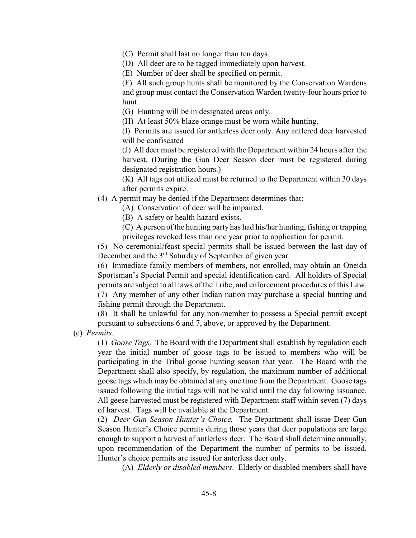(C) Permit shall last no longer than ten days.

(D) All deer are to be tagged immediately upon harvest.

(E) Number of deer shall be specified on permit.

(F) All such group hunts shall be monitored by the Conservation Wardens and group must contact the Conservation Warden twenty-four hours prior to hunt.

(G) Hunting will be in designated areas only.

(H) At least 50% blaze orange must be worn while hunting.

(I) Permits are issued for antlerless deer only. Any antlered deer harvested will be confiscated

(J) All deer must be registered with the Department within 24 hours after the harvest. (During the Gun Deer Season deer must be registered during designated registration hours.)

(K) All tags not utilized must be returned to the Department within 30 days after permits expire.

(4) A permit may be denied if the Department determines that:

(A) Conservation of deer will be impaired.

(B) A safety or health hazard exists.

(C) A person of the hunting party has had his/her hunting, fishing or trapping privileges revoked less than one year prior to application for permit.

(5) No ceremonial/feast special permits shall be issued between the last day of December and the  $3<sup>rd</sup>$  Saturday of September of given year.

(6) Immediate family members of members, not enrolled, may obtain an Oneida Sportsman's Special Permit and special identification card. All holders of Special permits are subject to all laws of the Tribe, and enforcement procedures of this Law. (7) Any member of any other Indian nation may purchase a special hunting and fishing permit through the Department.

(8) It shall be unlawful for any non-member to possess a Special permit except pursuant to subsections 6 and 7, above, or approved by the Department.

(c) *Permits.*

(1) *Goose Tags.* The Board with the Department shall establish by regulation each year the initial number of goose tags to be issued to members who will be participating in the Tribal goose hunting season that year. The Board with the Department shall also specify, by regulation, the maximum number of additional goose tags which may be obtained at any one time from the Department. Goose tags issued following the initial tags will not be valid until the day following issuance. All geese harvested must be registered with Department staff within seven (7) days of harvest. Tags will be available at the Department.

(2) *Deer Gun Season Hunter's Choice.* The Department shall issue Deer Gun Season Hunter's Choice permits during those years that deer populations are large enough to support a harvest of antlerless deer. The Board shall determine annually, upon recommendation of the Department the number of permits to be issued. Hunter's choice permits are issued for anterless deer only.

(A) *Elderly or disabled members*. Elderly or disabled members shall have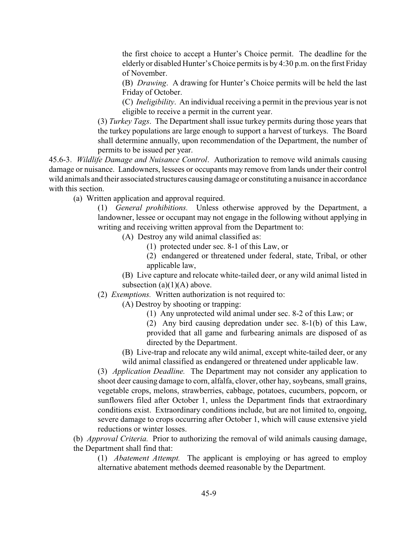the first choice to accept a Hunter's Choice permit. The deadline for the elderly or disabled Hunter's Choice permits is by 4:30 p.m. on the first Friday of November.

(B) *Drawing*. A drawing for Hunter's Choice permits will be held the last Friday of October.

(C) *Ineligibility*. An individual receiving a permit in the previous year is not eligible to receive a permit in the current year.

(3) *Turkey Tags*. The Department shall issue turkey permits during those years that the turkey populations are large enough to support a harvest of turkeys. The Board shall determine annually, upon recommendation of the Department, the number of permits to be issued per year.

45.6-3. *Wildlife Damage and Nuisance Control*. Authorization to remove wild animals causing damage or nuisance. Landowners, lessees or occupants may remove from lands under their control wild animals and their associated structures causing damage or constituting a nuisance in accordance with this section

(a) Written application and approval required.

(1) *General prohibitions.* Unless otherwise approved by the Department, a landowner, lessee or occupant may not engage in the following without applying in writing and receiving written approval from the Department to:

(A) Destroy any wild animal classified as:

(1) protected under sec. 8-1 of this Law, or

(2) endangered or threatened under federal, state, Tribal, or other applicable law,

(B) Live capture and relocate white-tailed deer, or any wild animal listed in subsection  $(a)(1)(A)$  above.

(2) *Exemptions.* Written authorization is not required to:

(A) Destroy by shooting or trapping:

(1) Any unprotected wild animal under sec. 8-2 of this Law; or

(2) Any bird causing depredation under sec. 8-1(b) of this Law, provided that all game and furbearing animals are disposed of as directed by the Department.

(B) Live-trap and relocate any wild animal, except white-tailed deer, or any wild animal classified as endangered or threatened under applicable law.

(3) *Application Deadline.* The Department may not consider any application to shoot deer causing damage to corn, alfalfa, clover, other hay, soybeans, small grains, vegetable crops, melons, strawberries, cabbage, potatoes, cucumbers, popcorn, or sunflowers filed after October 1, unless the Department finds that extraordinary conditions exist. Extraordinary conditions include, but are not limited to, ongoing, severe damage to crops occurring after October 1, which will cause extensive yield reductions or winter losses.

(b) *Approval Criteria.* Prior to authorizing the removal of wild animals causing damage, the Department shall find that:

(1) *Abatement Attempt.* The applicant is employing or has agreed to employ alternative abatement methods deemed reasonable by the Department.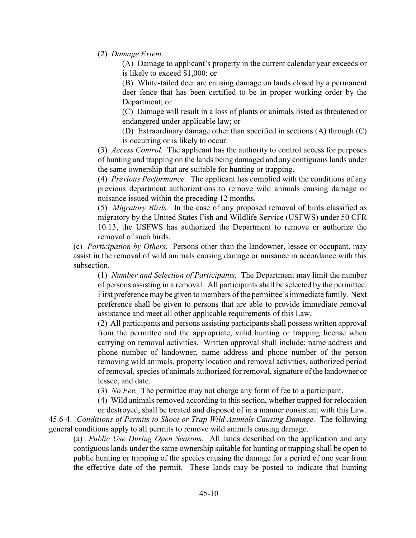(2) *Damage Extent.*

(A) Damage to applicant's property in the current calendar year exceeds or is likely to exceed \$1,000; or

(B) White-tailed deer are causing damage on lands closed by a permanent deer fence that has been certified to be in proper working order by the Department; or

(C) Damage will result in a loss of plants or animals listed as threatened or endangered under applicable law; or

(D) Extraordinary damage other than specified in sections (A) through (C) is occurring or is likely to occur.

(3) *Access Control.* The applicant has the authority to control access for purposes of hunting and trapping on the lands being damaged and any contiguous lands under the same ownership that are suitable for hunting or trapping.

(4) *Previous Performance.* The applicant has complied with the conditions of any previous department authorizations to remove wild animals causing damage or nuisance issued within the preceding 12 months.

(5) *Migratory Birds.* In the case of any proposed removal of birds classified as migratory by the United States Fish and Wildlife Service (USFWS) under 50 CFR 10.13, the USFWS has authorized the Department to remove or authorize the removal of such birds.

(c) *Participation by Others.* Persons other than the landowner, lessee or occupant, may assist in the removal of wild animals causing damage or nuisance in accordance with this subsection.

(1) *Number and Selection of Participants.* The Department may limit the number of persons assisting in a removal. All participants shall be selected by the permittee. First preference may be given to members of the permittee's immediate family. Next preference shall be given to persons that are able to provide immediate removal assistance and meet all other applicable requirements of this Law.

(2) All participants and persons assisting participants shall possess written approval from the permittee and the appropriate, valid hunting or trapping license when carrying on removal activities. Written approval shall include: name address and phone number of landowner, name address and phone number of the person removing wild animals, property location and removal activities, authorized period of removal, species of animals authorized for removal, signature of the landowner or lessee, and date.

(3) *No Fee.* The permittee may not charge any form of fee to a participant.

(4) Wild animals removed according to this section, whether trapped for relocation

or destroyed, shall be treated and disposed of in a manner consistent with this Law. 45.6-4. *Conditions of Permits to Shoot or Trap Wild Animals Causing Damage.* The following general conditions apply to all permits to remove wild animals causing damage.

(a) *Public Use During Open Seasons.* All lands described on the application and any contiguous lands under the same ownership suitable for hunting or trapping shall be open to public hunting or trapping of the species causing the damage for a period of one year from the effective date of the permit. These lands may be posted to indicate that hunting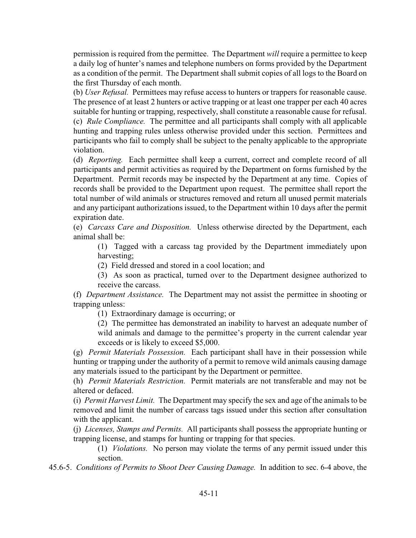permission is required from the permittee. The Department *will* require a permittee to keep a daily log of hunter's names and telephone numbers on forms provided by the Department as a condition of the permit. The Department shall submit copies of all logs to the Board on the first Thursday of each month.

(b) *User Refusal.* Permittees may refuse access to hunters or trappers for reasonable cause. The presence of at least 2 hunters or active trapping or at least one trapper per each 40 acres suitable for hunting or trapping, respectively, shall constitute a reasonable cause for refusal. (c) *Rule Compliance.* The permittee and all participants shall comply with all applicable hunting and trapping rules unless otherwise provided under this section. Permittees and participants who fail to comply shall be subject to the penalty applicable to the appropriate violation.

(d) *Reporting.* Each permittee shall keep a current, correct and complete record of all participants and permit activities as required by the Department on forms furnished by the Department. Permit records may be inspected by the Department at any time. Copies of records shall be provided to the Department upon request. The permittee shall report the total number of wild animals or structures removed and return all unused permit materials and any participant authorizations issued, to the Department within 10 days after the permit expiration date.

(e) *Carcass Care and Disposition.* Unless otherwise directed by the Department, each animal shall be:

(1) Tagged with a carcass tag provided by the Department immediately upon harvesting;

(2) Field dressed and stored in a cool location; and

(3) As soon as practical, turned over to the Department designee authorized to receive the carcass.

(f) *Department Assistance.* The Department may not assist the permittee in shooting or trapping unless:

(1) Extraordinary damage is occurring; or

(2) The permittee has demonstrated an inability to harvest an adequate number of wild animals and damage to the permittee's property in the current calendar year exceeds or is likely to exceed \$5,000.

(g) *Permit Materials Possession.* Each participant shall have in their possession while hunting or trapping under the authority of a permit to remove wild animals causing damage any materials issued to the participant by the Department or permittee.

(h) *Permit Materials Restriction.* Permit materials are not transferable and may not be altered or defaced.

(i) *Permit Harvest Limit.* The Department may specify the sex and age of the animals to be removed and limit the number of carcass tags issued under this section after consultation with the applicant.

(j) *Licenses, Stamps and Permits.* All participants shall possess the appropriate hunting or trapping license, and stamps for hunting or trapping for that species.

(1) *Violations.* No person may violate the terms of any permit issued under this section.

45.6-5. *Conditions of Permits to Shoot Deer Causing Damage.* In addition to sec. 6-4 above, the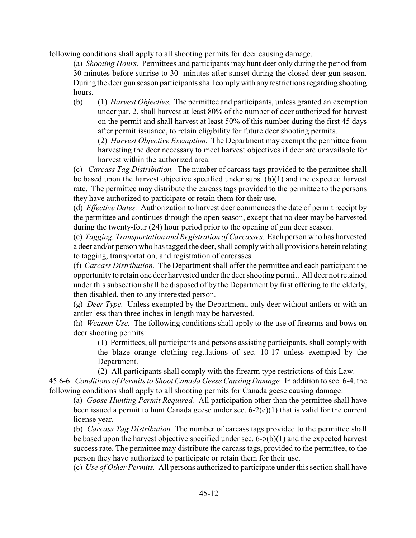following conditions shall apply to all shooting permits for deer causing damage.

(a) *Shooting Hours.* Permittees and participants may hunt deer only during the period from 30 minutes before sunrise to 30 minutes after sunset during the closed deer gun season. During the deer gun season participants shall comply with any restrictions regarding shooting hours.

(b) (1) *Harvest Objective.* The permittee and participants, unless granted an exemption under par. 2, shall harvest at least 80% of the number of deer authorized for harvest on the permit and shall harvest at least 50% of this number during the first 45 days after permit issuance, to retain eligibility for future deer shooting permits.

(2) *Harvest Objective Exemption.* The Department may exempt the permittee from harvesting the deer necessary to meet harvest objectives if deer are unavailable for harvest within the authorized area.

(c) *Carcass Tag Distribution.* The number of carcass tags provided to the permittee shall be based upon the harvest objective specified under subs. (b)(1) and the expected harvest rate. The permittee may distribute the carcass tags provided to the permittee to the persons they have authorized to participate or retain them for their use.

(d) *Effective Dates.* Authorization to harvest deer commences the date of permit receipt by the permittee and continues through the open season, except that no deer may be harvested during the twenty-four (24) hour period prior to the opening of gun deer season.

(e) *Tagging, Transportation and Registration of Carcasses.* Each person who has harvested a deer and/or person who has tagged the deer, shall comply with all provisions herein relating to tagging, transportation, and registration of carcasses.

(f) *Carcass Distribution.* The Department shall offer the permittee and each participant the opportunity to retain one deer harvested under the deer shooting permit. All deer not retained under this subsection shall be disposed of by the Department by first offering to the elderly, then disabled, then to any interested person.

(g) *Deer Type.* Unless exempted by the Department, only deer without antlers or with an antler less than three inches in length may be harvested.

(h) *Weapon Use.* The following conditions shall apply to the use of firearms and bows on deer shooting permits:

(1) Permittees, all participants and persons assisting participants, shall comply with the blaze orange clothing regulations of sec. 10-17 unless exempted by the Department.

(2) All participants shall comply with the firearm type restrictions of this Law.

45.6-6. *Conditions of Permits to Shoot Canada Geese Causing Damage.* In addition to sec. 6-4, the following conditions shall apply to all shooting permits for Canada geese causing damage:

(a) *Goose Hunting Permit Required.* All participation other than the permittee shall have been issued a permit to hunt Canada geese under sec. 6-2(c)(1) that is valid for the current license year.

(b) *Carcass Tag Distribution.* The number of carcass tags provided to the permittee shall be based upon the harvest objective specified under sec. 6-5(b)(1) and the expected harvest success rate. The permittee may distribute the carcass tags, provided to the permittee, to the person they have authorized to participate or retain them for their use.

(c) *Use of Other Permits.* All persons authorized to participate under this section shall have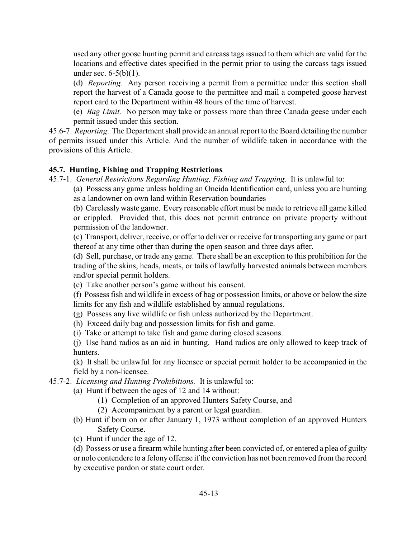used any other goose hunting permit and carcass tags issued to them which are valid for the locations and effective dates specified in the permit prior to using the carcass tags issued under sec. 6-5(b)(1).

(d) *Reporting.* Any person receiving a permit from a permittee under this section shall report the harvest of a Canada goose to the permittee and mail a competed goose harvest report card to the Department within 48 hours of the time of harvest.

(e) *Bag Limit.* No person may take or possess more than three Canada geese under each permit issued under this section.

45.6-7. *Reporting*. The Department shall provide an annual report to the Board detailing the number of permits issued under this Article. And the number of wildlife taken in accordance with the provisions of this Article.

# <span id="page-14-0"></span>**45.7. Hunting, Fishing and Trapping Restrictions***.*

45.7-1. *General Restrictions Regarding Hunting, Fishing and Trapping*. It is unlawful to:

(a) Possess any game unless holding an Oneida Identification card, unless you are hunting as a landowner on own land within Reservation boundaries

(b) Carelessly waste game. Every reasonable effort must be made to retrieve all game killed or crippled. Provided that, this does not permit entrance on private property without permission of the landowner.

(c) Transport, deliver, receive, or offer to deliver or receive for transporting any game or part thereof at any time other than during the open season and three days after.

(d) Sell, purchase, or trade any game. There shall be an exception to this prohibition for the trading of the skins, heads, meats, or tails of lawfully harvested animals between members and/or special permit holders.

(e) Take another person's game without his consent.

(f) Possess fish and wildlife in excess of bag or possession limits, or above or below the size limits for any fish and wildlife established by annual regulations.

(g) Possess any live wildlife or fish unless authorized by the Department.

- (h) Exceed daily bag and possession limits for fish and game.
- (i) Take or attempt to take fish and game during closed seasons.

(j) Use hand radios as an aid in hunting. Hand radios are only allowed to keep track of hunters.

(k) It shall be unlawful for any licensee or special permit holder to be accompanied in the field by a non-licensee.

45.7-2. *Licensing and Hunting Prohibitions.* It is unlawful to:

(a) Hunt if between the ages of 12 and 14 without:

- (1) Completion of an approved Hunters Safety Course, and
- (2) Accompaniment by a parent or legal guardian.
- (b) Hunt if born on or after January 1, 1973 without completion of an approved Hunters Safety Course.
- (c) Hunt if under the age of 12.

(d) Possess or use a firearm while hunting after been convicted of, or entered a plea of guilty or nolo contendere to a felony offense if the conviction has not been removed from the record by executive pardon or state court order.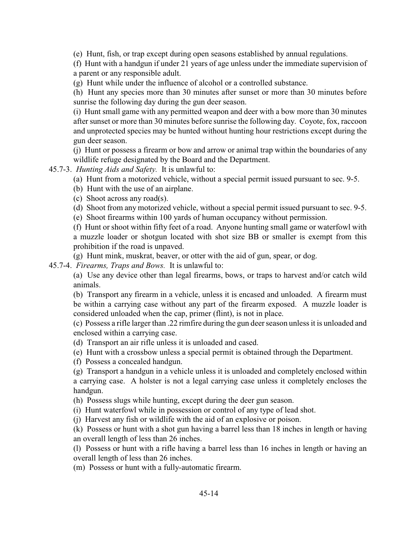(e) Hunt, fish, or trap except during open seasons established by annual regulations.

(f) Hunt with a handgun if under 21 years of age unless under the immediate supervision of a parent or any responsible adult.

(g) Hunt while under the influence of alcohol or a controlled substance.

(h) Hunt any species more than 30 minutes after sunset or more than 30 minutes before sunrise the following day during the gun deer season.

(i) Hunt small game with any permitted weapon and deer with a bow more than 30 minutes after sunset or more than 30 minutes before sunrise the following day. Coyote, fox, raccoon and unprotected species may be hunted without hunting hour restrictions except during the gun deer season.

(j) Hunt or possess a firearm or bow and arrow or animal trap within the boundaries of any wildlife refuge designated by the Board and the Department.

45.7-3. *Hunting Aids and Safety.* It is unlawful to:

- (a) Hunt from a motorized vehicle, without a special permit issued pursuant to sec. 9-5.
- (b) Hunt with the use of an airplane.
- (c) Shoot across any road(s).
- (d) Shoot from any motorized vehicle, without a special permit issued pursuant to sec. 9-5.
- (e) Shoot firearms within 100 yards of human occupancy without permission.

(f) Hunt or shoot within fifty feet of a road. Anyone hunting small game or waterfowl with a muzzle loader or shotgun located with shot size BB or smaller is exempt from this prohibition if the road is unpaved.

(g) Hunt mink, muskrat, beaver, or otter with the aid of gun, spear, or dog.

45.7-4. *Firearms, Traps and Bows.* It is unlawful to:

(a) Use any device other than legal firearms, bows, or traps to harvest and/or catch wild animals.

(b) Transport any firearm in a vehicle, unless it is encased and unloaded. A firearm must be within a carrying case without any part of the firearm exposed. A muzzle loader is considered unloaded when the cap, primer (flint), is not in place.

(c) Possess a rifle larger than .22 rimfire during the gun deerseason unless it is unloaded and enclosed within a carrying case.

- (d) Transport an air rifle unless it is unloaded and cased.
- (e) Hunt with a crossbow unless a special permit is obtained through the Department.

(f) Possess a concealed handgun.

(g) Transport a handgun in a vehicle unless it is unloaded and completely enclosed within a carrying case. A holster is not a legal carrying case unless it completely encloses the handgun.

(h) Possess slugs while hunting, except during the deer gun season.

(i) Hunt waterfowl while in possession or control of any type of lead shot.

(j) Harvest any fish or wildlife with the aid of an explosive or poison.

(k) Possess or hunt with a shot gun having a barrel less than 18 inches in length or having an overall length of less than 26 inches.

(l) Possess or hunt with a rifle having a barrel less than 16 inches in length or having an overall length of less than 26 inches.

(m) Possess or hunt with a fully-automatic firearm.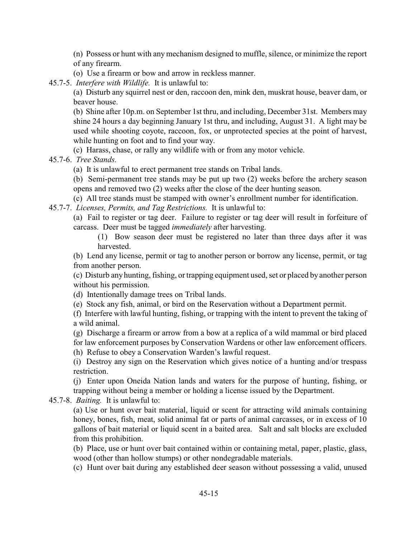(n) Possess or hunt with any mechanism designed to muffle, silence, or minimize the report of any firearm.

(o) Use a firearm or bow and arrow in reckless manner.

45.7-5. *Interfere with Wildlife.* It is unlawful to:

(a) Disturb any squirrel nest or den, raccoon den, mink den, muskrat house, beaver dam, or beaver house.

(b) Shine after 10p.m. on September 1st thru, and including, December 31st. Members may shine 24 hours a day beginning January 1st thru, and including, August 31. A light may be used while shooting coyote, raccoon, fox, or unprotected species at the point of harvest, while hunting on foot and to find your way.

(c) Harass, chase, or rally any wildlife with or from any motor vehicle.

45.7-6. *Tree Stands.* 

(a) It is unlawful to erect permanent tree stands on Tribal lands.

(b) Semi-permanent tree stands may be put up two (2) weeks before the archery season opens and removed two (2) weeks after the close of the deer hunting season.

(c) All tree stands must be stamped with owner's enrollment number for identification.

45.7-7. *Licenses, Permits, and Tag Restrictions.* It is unlawful to:

(a) Fail to register or tag deer. Failure to register or tag deer will result in forfeiture of carcass. Deer must be tagged *immediately* after harvesting.

(1) Bow season deer must be registered no later than three days after it was harvested.

(b) Lend any license, permit or tag to another person or borrow any license, permit, or tag from another person.

(c) Disturb any hunting, fishing, or trapping equipment used, set or placed by another person without his permission.

(d) Intentionally damage trees on Tribal lands.

(e) Stock any fish, animal, or bird on the Reservation without a Department permit.

(f) Interfere with lawful hunting, fishing, or trapping with the intent to prevent the taking of a wild animal.

(g) Discharge a firearm or arrow from a bow at a replica of a wild mammal or bird placed for law enforcement purposes by Conservation Wardens or other law enforcement officers.

(h) Refuse to obey a Conservation Warden's lawful request.

(i) Destroy any sign on the Reservation which gives notice of a hunting and/or trespass restriction.

(j) Enter upon Oneida Nation lands and waters for the purpose of hunting, fishing, or trapping without being a member or holding a license issued by the Department.

45.7-8. *Baiting.* It is unlawful to:

(a) Use or hunt over bait material, liquid or scent for attracting wild animals containing honey, bones, fish, meat, solid animal fat or parts of animal carcasses, or in excess of 10 gallons of bait material or liquid scent in a baited area. Salt and salt blocks are excluded from this prohibition.

(b) Place, use or hunt over bait contained within or containing metal, paper, plastic, glass, wood (other than hollow stumps) or other nondegradable materials.

(c) Hunt over bait during any established deer season without possessing a valid, unused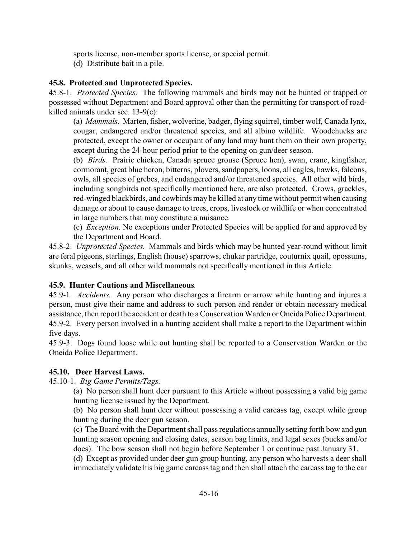sports license, non-member sports license, or special permit. (d) Distribute bait in a pile.

# <span id="page-17-0"></span>**45.8. Protected and Unprotected Species.**

45.8-1. *Protected Species.* The following mammals and birds may not be hunted or trapped or possessed without Department and Board approval other than the permitting for transport of roadkilled animals under sec. 13-9(c):

(a) *Mammals.* Marten, fisher, wolverine, badger, flying squirrel, timber wolf, Canada lynx, cougar, endangered and/or threatened species, and all albino wildlife. Woodchucks are protected, except the owner or occupant of any land may hunt them on their own property, except during the 24-hour period prior to the opening on gun/deer season.

(b) *Birds.* Prairie chicken, Canada spruce grouse (Spruce hen), swan, crane, kingfisher, cormorant, great blue heron, bitterns, plovers, sandpapers, loons, all eagles, hawks, falcons, owls, all species of grebes, and endangered and/or threatened species. All other wild birds, including songbirds not specifically mentioned here, are also protected. Crows, grackles, red-winged blackbirds, and cowbirds may be killed at any time without permit when causing damage or about to cause damage to trees, crops, livestock or wildlife or when concentrated in large numbers that may constitute a nuisance.

(c) *Exception.* No exceptions under Protected Species will be applied for and approved by the Department and Board.

45.8-2. *Unprotected Species.* Mammals and birds which may be hunted year-round without limit are feral pigeons, starlings, English (house) sparrows, chukar partridge, couturnix quail, opossums, skunks, weasels, and all other wild mammals not specifically mentioned in this Article.

# <span id="page-17-1"></span>**45.9. Hunter Cautions and Miscellaneous***.*

45.9-1. *Accidents.* Any person who discharges a firearm or arrow while hunting and injures a person, must give their name and address to such person and render or obtain necessary medical assistance, then report the accident or death to a Conservation Warden or Oneida Police Department. 45.9-2. Every person involved in a hunting accident shall make a report to the Department within five days.

45.9-3. Dogs found loose while out hunting shall be reported to a Conservation Warden or the Oneida Police Department.

# <span id="page-17-2"></span>**45.10. Deer Harvest Laws.**

45.10-1. *Big Game Permits/Tags.*

(a) No person shall hunt deer pursuant to this Article without possessing a valid big game hunting license issued by the Department.

(b) No person shall hunt deer without possessing a valid carcass tag, except while group hunting during the deer gun season.

(c) The Board with the Department shall pass regulations annually setting forth bow and gun hunting season opening and closing dates, season bag limits, and legal sexes (bucks and/or does). The bow season shall not begin before September 1 or continue past January 31.

(d) Except as provided under deer gun group hunting, any person who harvests a deer shall immediately validate his big game carcass tag and then shall attach the carcass tag to the ear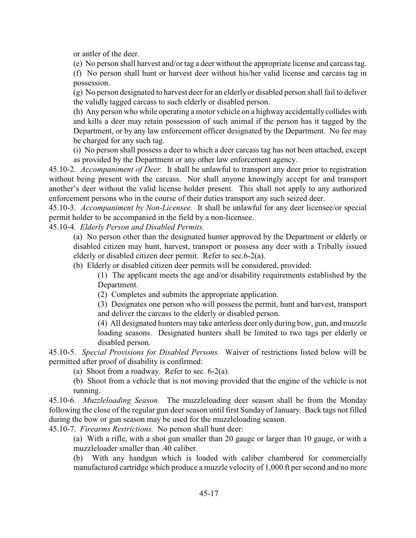or antler of the deer.

(e) No person shall harvest and/or tag a deer without the appropriate license and carcass tag.

(f) No person shall hunt or harvest deer without his/her valid license and carcass tag in possession.

(g) No person designated to harvest deer for an elderly or disabled person shall fail to deliver the validly tagged carcass to such elderly or disabled person.

(h) Any person who while operating a motor vehicle on a highway accidentally collides with and kills a deer may retain possession of such animal if the person has it tagged by the Department, or by any law enforcement officer designated by the Department. No fee may be charged for any such tag.

(i) No person shall possess a deer to which a deer carcass tag has not been attached, except as provided by the Department or any other law enforcement agency.

45.10-2. *Accompaniment of Deer.* It shall be unlawful to transport any deer prior to registration without being present with the carcass. Nor shall anyone knowingly accept for and transport another's deer without the valid license holder present. This shall not apply to any authorized enforcement persons who in the course of their duties transport any such seized deer.

45.10-3. *Accompaniment by Non-Licensee.* It shall be unlawful for any deer licensee/or special permit holder to be accompanied in the field by a non-licensee.

45.10-4. *Elderly Person and Disabled Permits.*

(a) No person other than the designated hunter approved by the Department or elderly or disabled citizen may hunt, harvest, transport or possess any deer with a Tribally issued elderly or disabled citizen deer permit. Refer to sec.6-2(a).

(b) Elderly or disabled citizen deer permits will be considered, provided:

(1) The applicant meets the age and/or disability requirements established by the Department.

(2) Completes and submits the appropriate application.

(3) Designates one person who will possess the permit, hunt and harvest, transport and deliver the carcass to the elderly or disabled person.

(4) All designated hunters may take anterless deer only during bow, gun, and muzzle loading seasons. Designated hunters shall be limited to two tags per elderly or disabled person.

45.10-5. *Special Provisions for Disabled Persons.* Waiver of restrictions listed below will be permitted after proof of disability is confirmed:

(a) Shoot from a roadway. Refer to sec. 6-2(a).

(b) Shoot from a vehicle that is not moving provided that the engine of the vehicle is not running.

45.10-6. *Muzzleloading Season.* The muzzleloading deer season shall be from the Monday following the close of the regular gun deer season until first Sunday of January. Back tags not filled during the bow or gun season may be used for the muzzleloading season.

45.10-7. *Firearms Restrictions.* No person shall hunt deer:

(a) With a rifle, with a shot gun smaller than 20 gauge or larger than 10 gauge, or with a muzzleloader smaller than .40 caliber.

(b) With any handgun which is loaded with caliber chambered for commercially manufactured cartridge which produce a muzzle velocity of 1,000 ft per second and no more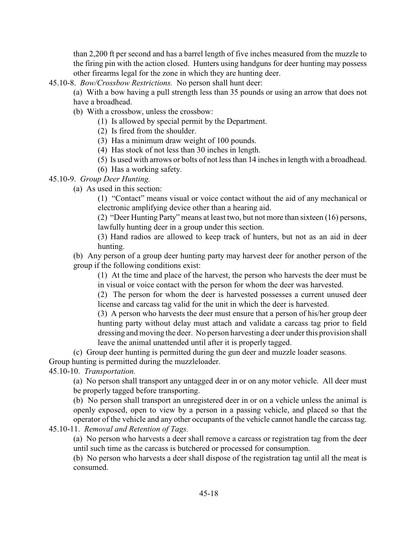than 2,200 ft per second and has a barrel length of five inches measured from the muzzle to the firing pin with the action closed. Hunters using handguns for deer hunting may possess other firearms legal for the zone in which they are hunting deer.

45.10-8. *Bow/Crossbow Restrictions.* No person shall hunt deer:

- (a) With a bow having a pull strength less than 35 pounds or using an arrow that does not have a broadhead.
- (b) With a crossbow, unless the crossbow:
	- (1) Is allowed by special permit by the Department.
	- (2) Is fired from the shoulder.
	- (3) Has a minimum draw weight of 100 pounds.
	- (4) Has stock of not less than 30 inches in length.
	- (5) Is used with arrows or bolts of not less than 14 inches in length with a broadhead.
	- (6) Has a working safety.

#### 45.10-9. *Group Deer Hunting.*

(a) As used in this section:

(1) "Contact" means visual or voice contact without the aid of any mechanical or electronic amplifying device other than a hearing aid.

(2) "Deer Hunting Party" means at least two, but not more than sixteen (16) persons, lawfully hunting deer in a group under this section.

(3) Hand radios are allowed to keep track of hunters, but not as an aid in deer hunting.

(b) Any person of a group deer hunting party may harvest deer for another person of the group if the following conditions exist:

(1) At the time and place of the harvest, the person who harvests the deer must be in visual or voice contact with the person for whom the deer was harvested.

(2) The person for whom the deer is harvested possesses a current unused deer license and carcass tag valid for the unit in which the deer is harvested.

(3) A person who harvests the deer must ensure that a person of his/her group deer hunting party without delay must attach and validate a carcass tag prior to field dressing and moving the deer. No person harvesting a deer under this provision shall leave the animal unattended until after it is properly tagged.

(c) Group deer hunting is permitted during the gun deer and muzzle loader seasons.

Group hunting is permitted during the muzzleloader.

45.10-10. *Transportation.*

(a) No person shall transport any untagged deer in or on any motor vehicle. All deer must be properly tagged before transporting.

(b) No person shall transport an unregistered deer in or on a vehicle unless the animal is openly exposed, open to view by a person in a passing vehicle, and placed so that the operator of the vehicle and any other occupants of the vehicle cannot handle the carcass tag.

45.10-11. *Removal and Retention of Tags.*

(a) No person who harvests a deer shall remove a carcass or registration tag from the deer until such time as the carcass is butchered or processed for consumption.

(b) No person who harvests a deer shall dispose of the registration tag until all the meat is consumed.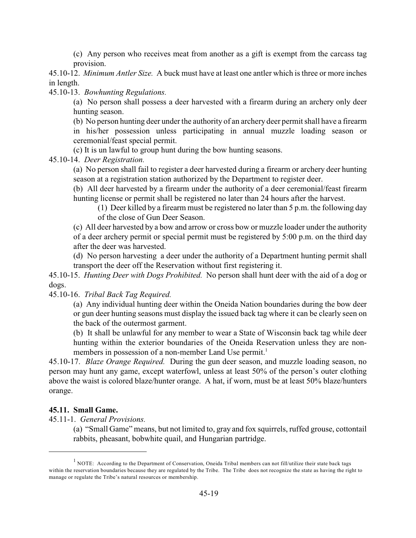(c) Any person who receives meat from another as a gift is exempt from the carcass tag provision.

45.10-12. *Minimum Antler Size.* A buck must have at least one antler which is three or more inches in length.

45.10-13. *Bowhunting Regulations.*

(a) No person shall possess a deer harvested with a firearm during an archery only deer hunting season.

(b) No person hunting deer under the authority of an archery deer permit shall have a firearm

in his/her possession unless participating in annual muzzle loading season or ceremonial/feast special permit.

(c) It is un lawful to group hunt during the bow hunting seasons.

45.10-14. *Deer Registration.*

(a) No person shall fail to register a deer harvested during a firearm or archery deer hunting season at a registration station authorized by the Department to register deer.

(b) All deer harvested by a firearm under the authority of a deer ceremonial/feast firearm hunting license or permit shall be registered no later than 24 hours after the harvest.

(1) Deer killed by a firearm must be registered no later than 5 p.m. the following day of the close of Gun Deer Season.

(c) All deer harvested by a bow and arrow or cross bow or muzzle loader under the authority of a deer archery permit or special permit must be registered by 5:00 p.m. on the third day after the deer was harvested.

(d) No person harvesting a deer under the authority of a Department hunting permit shall transport the deer off the Reservation without first registering it.

45.10-15. *Hunting Deer with Dogs Prohibited.* No person shall hunt deer with the aid of a dog or dogs.

45.10-16. *Tribal Back Tag Required.*

(a) Any individual hunting deer within the Oneida Nation boundaries during the bow deer or gun deer hunting seasons must display the issued back tag where it can be clearly seen on the back of the outermost garment.

(b) It shall be unlawful for any member to wear a State of Wisconsin back tag while deer hunting within the exterior boundaries of the Oneida Reservation unless they are nonmembers in possession of a non-member Land Use permit.<sup>1</sup>

45.10-17. *Blaze Orange Required.* During the gun deer season, and muzzle loading season, no person may hunt any game, except waterfowl, unless at least 50% of the person's outer clothing above the waist is colored blaze/hunter orange. A hat, if worn, must be at least 50% blaze/hunters orange.

#### <span id="page-20-0"></span>**45.11. Small Game.**

45.11-1. *General Provisions.*

(a) "Small Game" means, but not limited to, gray and fox squirrels, ruffed grouse, cottontail rabbits, pheasant, bobwhite quail, and Hungarian partridge.

 $<sup>1</sup>$  NOTE: According to the Department of Conservation, Oneida Tribal members can not fill/utilize their state back tags</sup> within the reservation boundaries because they are regulated by the Tribe. The Tribe does not recognize the state as having the right to manage or regulate the Tribe's natural resources or membership.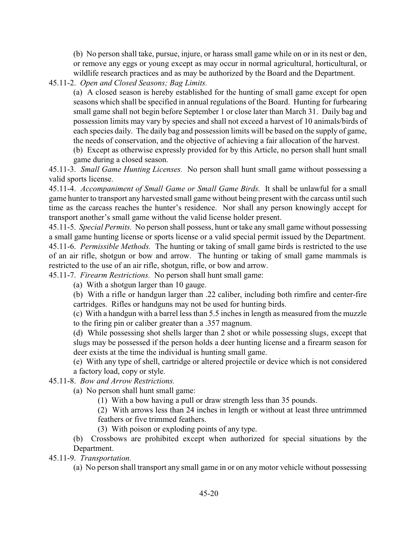(b) No person shall take, pursue, injure, or harass small game while on or in its nest or den, or remove any eggs or young except as may occur in normal agricultural, horticultural, or wildlife research practices and as may be authorized by the Board and the Department.

45.11-2. *Open and Closed Seasons; Bag Limits.*

(a) A closed season is hereby established for the hunting of small game except for open seasons which shall be specified in annual regulations of the Board. Hunting for furbearing small game shall not begin before September 1 or close later than March 31. Daily bag and possession limits may vary by species and shall not exceed a harvest of 10 animals/birds of each species daily. The daily bag and possession limits will be based on the supply of game, the needs of conservation, and the objective of achieving a fair allocation of the harvest.

(b) Except as otherwise expressly provided for by this Article, no person shall hunt small game during a closed season.

45.11-3. *Small Game Hunting Licenses.* No person shall hunt small game without possessing a valid sports license.

45.11-4. *Accompaniment of Small Game or Small Game Birds.* It shall be unlawful for a small game hunter to transport any harvested small game without being present with the carcass until such time as the carcass reaches the hunter's residence. Nor shall any person knowingly accept for transport another's small game without the valid license holder present.

45.11-5. *Special Permits.* No person shall possess, hunt or take any small game without possessing a small game hunting license or sports license or a valid special permit issued by the Department. 45.11-6. *Permissible Methods.* The hunting or taking of small game birds is restricted to the use of an air rifle, shotgun or bow and arrow. The hunting or taking of small game mammals is restricted to the use of an air rifle, shotgun, rifle, or bow and arrow.

45.11-7. *Firearm Restrictions.* No person shall hunt small game:

(a) With a shotgun larger than 10 gauge.

(b) With a rifle or handgun larger than .22 caliber, including both rimfire and center-fire cartridges. Rifles or handguns may not be used for hunting birds.

(c) With a handgun with a barrel less than 5.5 inches in length as measured from the muzzle to the firing pin or caliber greater than a .357 magnum.

(d) While possessing shot shells larger than 2 shot or while possessing slugs, except that slugs may be possessed if the person holds a deer hunting license and a firearm season for deer exists at the time the individual is hunting small game.

(e) With any type of shell, cartridge or altered projectile or device which is not considered a factory load, copy or style.

45.11-8. *Bow and Arrow Restrictions.*

(a) No person shall hunt small game:

(1) With a bow having a pull or draw strength less than 35 pounds.

(2) With arrows less than 24 inches in length or without at least three untrimmed feathers or five trimmed feathers.

(3) With poison or exploding points of any type.

(b) Crossbows are prohibited except when authorized for special situations by the Department.

45.11-9. *Transportation.*

(a) No person shall transport any small game in or on any motor vehicle without possessing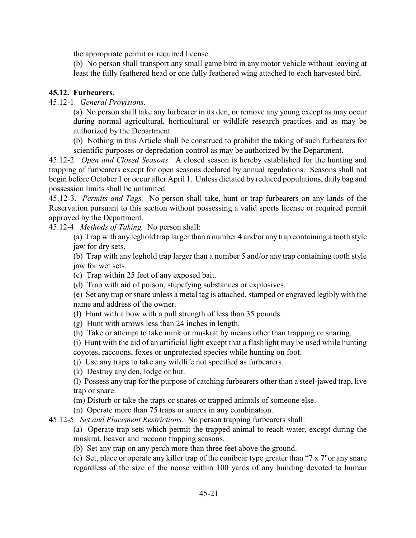the appropriate permit or required license.

(b) No person shall transport any small game bird in any motor vehicle without leaving at least the fully feathered head or one fully feathered wing attached to each harvested bird.

# <span id="page-22-0"></span>**45.12. Furbearers.**

45.12-1. *General Provisions.*

(a) No person shall take any furbearer in its den, or remove any young except as may occur during normal agricultural, horticultural or wildlife research practices and as may be authorized by the Department.

(b) Nothing in this Article shall be construed to prohibit the taking of such furbearers for scientific purposes or depredation control as may be authorized by the Department.

45.12-2. *Open and Closed Seasons.* A closed season is hereby established for the hunting and trapping of furbearers except for open seasons declared by annual regulations. Seasons shall not begin before October 1 or occur after April 1. Unless dictated by reduced populations, daily bag and possession limits shall be unlimited.

45.12-3. *Permits and Tags.* No person shall take, hunt or trap furbearers on any lands of the Reservation pursuant to this section without possessing a valid sports license or required permit approved by the Department.

45.12-4. *Methods of Taking.* No person shall:

(a) Trap with any leghold trap larger than a number 4 and/or any trap containing a tooth style jaw for dry sets.

(b) Trap with any leghold trap larger than a number 5 and/or any trap containing tooth style jaw for wet sets.

- (c) Trap within 25 feet of any exposed bait.
- (d) Trap with aid of poison, stupefying substances or explosives.

(e) Set any trap or snare unless a metal tag is attached, stamped or engraved legibly with the name and address of the owner.

(f) Hunt with a bow with a pull strength of less than 35 pounds.

- (g) Hunt with arrows less than 24 inches in length.
- (h) Take or attempt to take mink or muskrat by means other than trapping or snaring.

(i) Hunt with the aid of an artificial light except that a flashlight may be used while hunting coyotes, raccoons, foxes or unprotected species while hunting on foot.

(j) Use any traps to take any wildlife not specified as furbearers.

(k) Destroy any den, lodge or hut.

(l) Possess any trap for the purpose of catching furbearers other than a steel-jawed trap, live trap or snare.

(m) Disturb or take the traps or snares or trapped animals of someone else.

(n) Operate more than 75 traps or snares in any combination.

45.12-5. *Set and Placement Restrictions.* No person trapping furbearers shall:

(a) Operate trap sets which permit the trapped animal to reach water, except during the muskrat, beaver and raccoon trapping seasons.

(b) Set any trap on any perch more than three feet above the ground.

(c) Set, place or operate any killer trap of the conibear type greater than "7 x 7"or any snare regardless of the size of the noose within 100 yards of any building devoted to human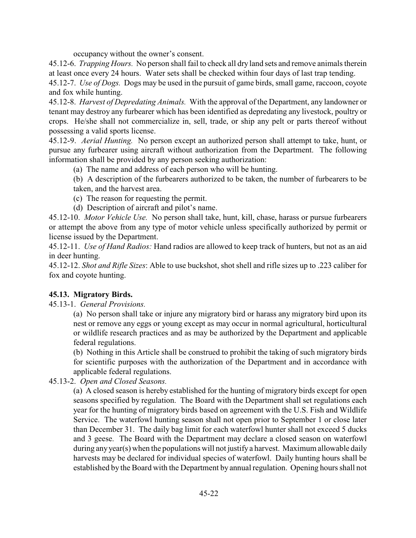occupancy without the owner's consent.

45.12-6. *Trapping Hours.* No person shall fail to check all dry land sets and remove animals therein at least once every 24 hours. Water sets shall be checked within four days of last trap tending.

45.12-7. *Use of Dogs.* Dogs may be used in the pursuit of game birds, small game, raccoon, coyote and fox while hunting.

45.12-8. *Harvest of Depredating Animals.* With the approval of the Department, any landowner or tenant may destroy any furbearer which has been identified as depredating any livestock, poultry or crops. He/she shall not commercialize in, sell, trade, or ship any pelt or parts thereof without possessing a valid sports license.

45.12-9. *Aerial Hunting.* No person except an authorized person shall attempt to take, hunt, or pursue any furbearer using aircraft without authorization from the Department. The following information shall be provided by any person seeking authorization:

(a) The name and address of each person who will be hunting.

(b) A description of the furbearers authorized to be taken, the number of furbearers to be taken, and the harvest area.

- (c) The reason for requesting the permit.
- (d) Description of aircraft and pilot's name.

45.12-10. *Motor Vehicle Use.* No person shall take, hunt, kill, chase, harass or pursue furbearers or attempt the above from any type of motor vehicle unless specifically authorized by permit or license issued by the Department.

45.12-11. *Use of Hand Radios:* Hand radios are allowed to keep track of hunters, but not as an aid in deer hunting.

45.12-12. *Shot and Rifle Sizes*: Able to use buckshot, shot shell and rifle sizes up to .223 caliber for fox and coyote hunting.

# <span id="page-23-0"></span>**45.13. Migratory Birds.**

45.13-1. *General Provisions.*

(a) No person shall take or injure any migratory bird or harass any migratory bird upon its nest or remove any eggs or young except as may occur in normal agricultural, horticultural or wildlife research practices and as may be authorized by the Department and applicable federal regulations.

(b) Nothing in this Article shall be construed to prohibit the taking of such migratory birds for scientific purposes with the authorization of the Department and in accordance with applicable federal regulations.

45.13-2. *Open and Closed Seasons.*

(a) A closed season is hereby established for the hunting of migratory birds except for open seasons specified by regulation. The Board with the Department shall set regulations each year for the hunting of migratory birds based on agreement with the U.S. Fish and Wildlife Service. The waterfowl hunting season shall not open prior to September 1 or close later than December 31. The daily bag limit for each waterfowl hunter shall not exceed 5 ducks and 3 geese. The Board with the Department may declare a closed season on waterfowl during any year(s) when the populations will not justify a harvest. Maximum allowable daily harvests may be declared for individual species of waterfowl. Daily hunting hours shall be established by the Board with the Department by annual regulation. Opening hours shall not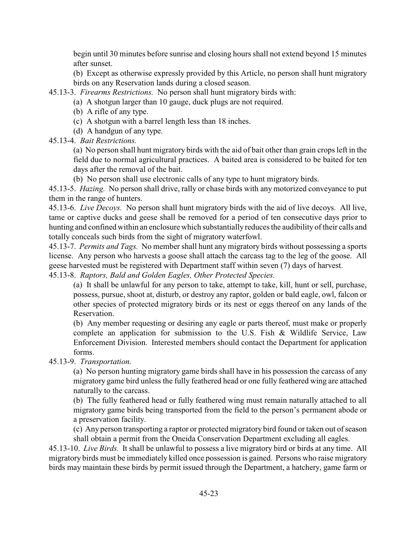begin until 30 minutes before sunrise and closing hours shall not extend beyond 15 minutes after sunset.

(b) Except as otherwise expressly provided by this Article, no person shall hunt migratory birds on any Reservation lands during a closed season.

45.13-3. *Firearms Restrictions.* No person shall hunt migratory birds with:

(a) A shotgun larger than 10 gauge, duck plugs are not required.

(b) A rifle of any type.

(c) A shotgun with a barrel length less than 18 inches.

(d) A handgun of any type.

45.13-4. *Bait Restrictions.*

(a) No person shall hunt migratory birds with the aid of bait other than grain crops left in the field due to normal agricultural practices. A baited area is considered to be baited for ten days after the removal of the bait.

(b) No person shall use electronic calls of any type to hunt migratory birds.

45.13-5. *Hazing.* No person shall drive, rally or chase birds with any motorized conveyance to put them in the range of hunters.

45.13-6. *Live Decoys.* No person shall hunt migratory birds with the aid of live decoys. All live, tame or captive ducks and geese shall be removed for a period of ten consecutive days prior to hunting and confined within an enclosure which substantially reduces the audibility of their calls and totally conceals such birds from the sight of migratory waterfowl.

45.13-7. *Permits and Tags.* No member shall hunt any migratory birds without possessing a sports license. Any person who harvests a goose shall attach the carcass tag to the leg of the goose. All geese harvested must be registered with Department staff within seven (7) days of harvest.

45.13-8. *Raptors, Bald and Golden Eagles, Other Protected Species.*

(a) It shall be unlawful for any person to take, attempt to take, kill, hunt or sell, purchase, possess, pursue, shoot at, disturb, or destroy any raptor, golden or bald eagle, owl, falcon or other species of protected migratory birds or its nest or eggs thereof on any lands of the Reservation.

(b) Any member requesting or desiring any eagle or parts thereof, must make or properly complete an application for submission to the U.S. Fish & Wildlife Service, Law Enforcement Division. Interested members should contact the Department for application forms.

45.13-9. *Transportation.*

(a) No person hunting migratory game birds shall have in his possession the carcass of any migratory game bird unless the fully feathered head or one fully feathered wing are attached naturally to the carcass.

(b) The fully feathered head or fully feathered wing must remain naturally attached to all migratory game birds being transported from the field to the person's permanent abode or a preservation facility.

(c) Any person transporting a raptor or protected migratory bird found or taken out of season shall obtain a permit from the Oneida Conservation Department excluding all eagles.

45.13-10. *Live Birds.* It shall be unlawful to possess a live migratory bird or birds at any time. All migratory birds must be immediately killed once possession is gained. Persons who raise migratory birds may maintain these birds by permit issued through the Department, a hatchery, game farm or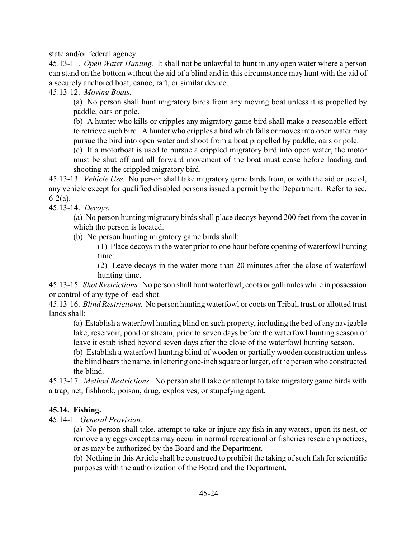state and/or federal agency.

45.13-11. *Open Water Hunting.* It shall not be unlawful to hunt in any open water where a person can stand on the bottom without the aid of a blind and in this circumstance may hunt with the aid of a securely anchored boat, canoe, raft, or similar device.

45.13-12. *Moving Boats.*

(a) No person shall hunt migratory birds from any moving boat unless it is propelled by paddle, oars or pole.

(b) A hunter who kills or cripples any migratory game bird shall make a reasonable effort to retrieve such bird. A hunter who cripples a bird which falls or moves into open water may pursue the bird into open water and shoot from a boat propelled by paddle, oars or pole.

(c) If a motorboat is used to pursue a crippled migratory bird into open water, the motor must be shut off and all forward movement of the boat must cease before loading and shooting at the crippled migratory bird.

45.13-13. *Vehicle Use.* No person shall take migratory game birds from, or with the aid or use of, any vehicle except for qualified disabled persons issued a permit by the Department. Refer to sec.  $6 - 2(a)$ .

45.13-14. *Decoys.*

(a) No person hunting migratory birds shall place decoys beyond 200 feet from the cover in which the person is located.

(b) No person hunting migratory game birds shall:

(1) Place decoys in the water prior to one hour before opening of waterfowl hunting time.

(2) Leave decoys in the water more than 20 minutes after the close of waterfowl hunting time.

45.13-15. *Shot Restrictions.* No person shall hunt waterfowl, coots or gallinules while in possession or control of any type of lead shot.

45.13-16. *Blind Restrictions.* No person hunting waterfowl or coots on Tribal, trust, or allotted trust lands shall:

(a) Establish a waterfowl hunting blind on such property, including the bed of any navigable lake, reservoir, pond or stream, prior to seven days before the waterfowl hunting season or leave it established beyond seven days after the close of the waterfowl hunting season.

(b) Establish a waterfowl hunting blind of wooden or partially wooden construction unless the blind bears the name, in lettering one-inch square or larger, of the person who constructed the blind.

45.13-17. *Method Restrictions.* No person shall take or attempt to take migratory game birds with a trap, net, fishhook, poison, drug, explosives, or stupefying agent.

# <span id="page-25-0"></span>**45.14. Fishing.**

45.14-1. *General Provision.*

(a) No person shall take, attempt to take or injure any fish in any waters, upon its nest, or remove any eggs except as may occur in normal recreational or fisheries research practices, or as may be authorized by the Board and the Department.

(b) Nothing in this Article shall be construed to prohibit the taking of such fish for scientific purposes with the authorization of the Board and the Department.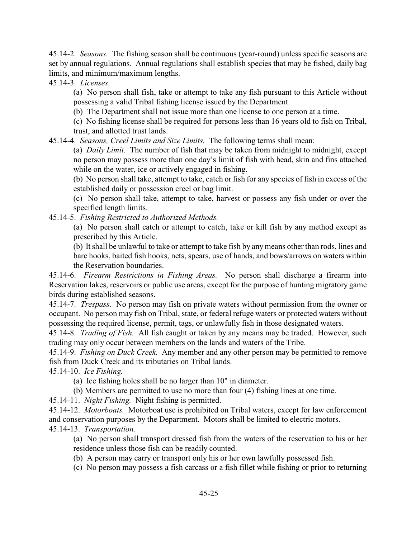45.14-2. *Seasons.* The fishing season shall be continuous (year-round) unless specific seasons are set by annual regulations. Annual regulations shall establish species that may be fished, daily bag limits, and minimum/maximum lengths.

45.14-3. *Licenses.*

(a) No person shall fish, take or attempt to take any fish pursuant to this Article without possessing a valid Tribal fishing license issued by the Department.

(b) The Department shall not issue more than one license to one person at a time.

(c) No fishing license shall be required for persons less than 16 years old to fish on Tribal, trust, and allotted trust lands.

45.14-4. *Seasons, Creel Limits and Size Limits.* The following terms shall mean:

(a) *Daily Limit.* The number of fish that may be taken from midnight to midnight, except no person may possess more than one day's limit of fish with head, skin and fins attached while on the water, ice or actively engaged in fishing.

(b) No person shall take, attempt to take, catch or fish for any species of fish in excess of the established daily or possession creel or bag limit.

(c) No person shall take, attempt to take, harvest or possess any fish under or over the specified length limits.

45.14-5. *Fishing Restricted to Authorized Methods.*

(a) No person shall catch or attempt to catch, take or kill fish by any method except as prescribed by this Article.

(b) It shall be unlawful to take or attempt to take fish by any means other than rods, lines and bare hooks, baited fish hooks, nets, spears, use of hands, and bows/arrows on waters within the Reservation boundaries.

45.14-6. *Firearm Restrictions in Fishing Areas.* No person shall discharge a firearm into Reservation lakes, reservoirs or public use areas, except for the purpose of hunting migratory game birds during established seasons.

45.14-7. *Trespass.* No person may fish on private waters without permission from the owner or occupant. No person may fish on Tribal, state, or federal refuge waters or protected waters without possessing the required license, permit, tags, or unlawfully fish in those designated waters.

45.14-8. *Trading of Fish.* All fish caught or taken by any means may be traded. However, such trading may only occur between members on the lands and waters of the Tribe.

45.14-9. *Fishing on Duck Creek.* Any member and any other person may be permitted to remove fish from Duck Creek and its tributaries on Tribal lands.

45.14-10. *Ice Fishing.*

(a) Ice fishing holes shall be no larger than 10" in diameter.

(b) Members are permitted to use no more than four (4) fishing lines at one time.

45.14-11. *Night Fishing.* Night fishing is permitted.

45.14-12. *Motorboats.* Motorboat use is prohibited on Tribal waters, except for law enforcement and conservation purposes by the Department. Motors shall be limited to electric motors. 45.14-13. *Transportation.*

(a) No person shall transport dressed fish from the waters of the reservation to his or her residence unless those fish can be readily counted.

(b) A person may carry or transport only his or her own lawfully possessed fish.

(c) No person may possess a fish carcass or a fish fillet while fishing or prior to returning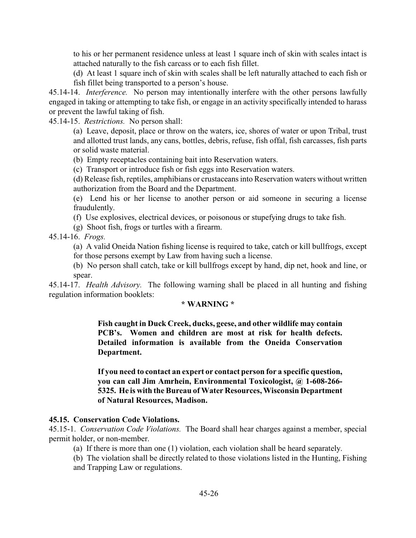to his or her permanent residence unless at least 1 square inch of skin with scales intact is attached naturally to the fish carcass or to each fish fillet.

(d) At least 1 square inch of skin with scales shall be left naturally attached to each fish or fish fillet being transported to a person's house.

45.14-14. *Interference.* No person may intentionally interfere with the other persons lawfully engaged in taking or attempting to take fish, or engage in an activity specifically intended to harass or prevent the lawful taking of fish.

45.14-15. *Restrictions.* No person shall:

(a) Leave, deposit, place or throw on the waters, ice, shores of water or upon Tribal, trust and allotted trust lands, any cans, bottles, debris, refuse, fish offal, fish carcasses, fish parts or solid waste material.

(b) Empty receptacles containing bait into Reservation waters.

(c) Transport or introduce fish or fish eggs into Reservation waters.

(d) Release fish, reptiles, amphibians or crustaceans into Reservation waters without written authorization from the Board and the Department.

(e) Lend his or her license to another person or aid someone in securing a license fraudulently.

(f) Use explosives, electrical devices, or poisonous or stupefying drugs to take fish.

(g) Shoot fish, frogs or turtles with a firearm.

45.14-16. *Frogs.*

(a) A valid Oneida Nation fishing license is required to take, catch or kill bullfrogs, except

for those persons exempt by Law from having such a license.

(b) No person shall catch, take or kill bullfrogs except by hand, dip net, hook and line, or spear.

45.14-17. *Health Advisory.* The following warning shall be placed in all hunting and fishing regulation information booklets:

#### **\* WARNING \***

**Fish caught in Duck Creek, ducks, geese, and other wildlife may contain PCB's. Women and children are most at risk for health defects. Detailed information is available from the Oneida Conservation Department.**

**If you need to contact an expert or contact person for a specific question, you can call Jim Amrhein, Environmental Toxicologist, @ 1-608-266- 5325. He is with theBureau of Water Resources, Wisconsin Department of Natural Resources, Madison.**

# <span id="page-27-0"></span>**45.15. Conservation Code Violations.**

45.15-1. *Conservation Code Violations.* The Board shall hear charges against a member, special permit holder, or non-member.

(a) If there is more than one (1) violation, each violation shall be heard separately.

(b) The violation shall be directly related to those violations listed in the Hunting, Fishing and Trapping Law or regulations.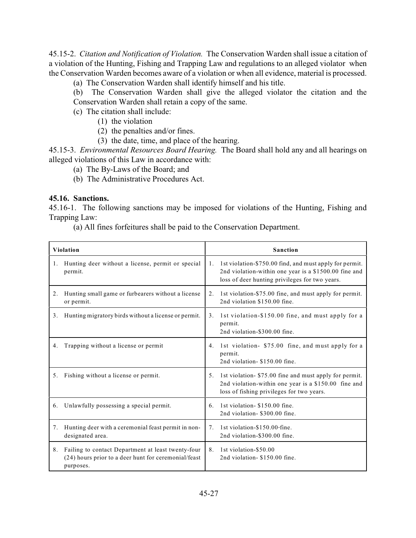45.15-2. *Citation and Notification of Violation.* The Conservation Warden shall issue a citation of a violation of the Hunting, Fishing and Trapping Law and regulations to an alleged violator when the Conservation Warden becomes aware of a violation or when all evidence, material is processed.

- (a) The Conservation Warden shall identify himself and his title.
- (b) The Conservation Warden shall give the alleged violator the citation and the Conservation Warden shall retain a copy of the same.
- (c) The citation shall include:
	- (1) the violation
	- (2) the penalties and/or fines.
	- (3) the date, time, and place of the hearing.

45.15-3. *Environmental Resources Board Hearing.* The Board shall hold any and all hearings on alleged violations of this Law in accordance with:

- (a) The By-Laws of the Board; and
- (b) The Administrative Procedures Act.

#### <span id="page-28-0"></span>**45.16. Sanctions.**

45.16-1. The following sanctions may be imposed for violations of the Hunting, Fishing and Trapping Law:

(a) All fines forfeitures shall be paid to the Conservation Department.

| <b>Violation</b> |                                                                                                                         |    | <b>Sanction</b>                                                                                                                                                    |
|------------------|-------------------------------------------------------------------------------------------------------------------------|----|--------------------------------------------------------------------------------------------------------------------------------------------------------------------|
| 1.               | Hunting deer without a license, permit or special<br>permit.                                                            | 1. | 1st violation-\$750.00 find, and must apply for permit.<br>2nd violation-within one year is a \$1500.00 fine and<br>loss of deer hunting privileges for two years. |
| 2.               | Hunting small game or furbearers without a license<br>or permit.                                                        | 2. | 1st violation-\$75.00 fine, and must apply for permit.<br>2nd violation \$150.00 fine.                                                                             |
| 3.               | Hunting migratory birds without a license or permit.                                                                    | 3. | 1st violation-\$150.00 fine, and must apply for a<br>permit.<br>2nd violation-\$300.00 fine.                                                                       |
| 4.               | Trapping without a license or permit                                                                                    | 4. | 1st violation- \$75.00 fine, and must apply for a<br>permit.<br>2nd violation-\$150.00 fine.                                                                       |
| 5.               | Fishing without a license or permit.                                                                                    | 5. | 1st violation- \$75.00 fine and must apply for permit.<br>2nd violation-within one year is a \$150.00 fine and<br>loss of fishing privileges for two years.        |
|                  | 6. Unlawfully possessing a special permit.                                                                              | 6. | 1st violation - \$150.00 fine.<br>2nd violation- \$300.00 fine.                                                                                                    |
| 7.               | Hunting deer with a ceremonial feast permit in non-<br>designated area.                                                 | 7. | 1st violation-\$150.00 fine.<br>2nd violation-\$300.00 fine.                                                                                                       |
| 8.               | Failing to contact Department at least twenty-four<br>(24) hours prior to a deer hunt for ceremonial/feast<br>purposes. | 8. | 1st violation-\$50.00<br>2nd violation - \$150.00 fine.                                                                                                            |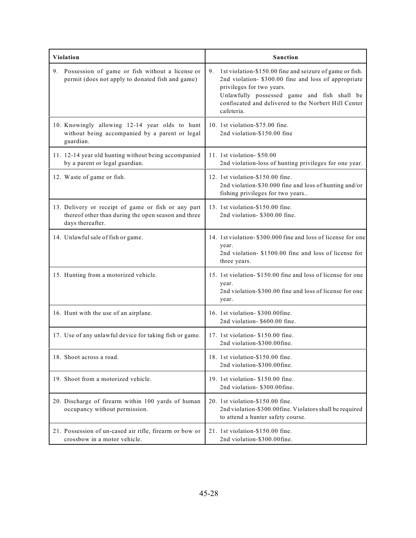| <b>Violation</b>                      |                                                                                                            |    | <b>Sanction</b>                                                                                                                                                                                                                                                    |
|---------------------------------------|------------------------------------------------------------------------------------------------------------|----|--------------------------------------------------------------------------------------------------------------------------------------------------------------------------------------------------------------------------------------------------------------------|
|                                       | 9. Possession of game or fish without a license or<br>permit (does not apply to donated fish and game)     | 9. | 1st violation-\$150.00 fine and seizure of game or fish.<br>2nd violation- \$300.00 fine and loss of appropriate<br>privileges for two years.<br>Unlawfully possessed game and fish shall be<br>confiscated and delivered to the Norbert Hill Center<br>cafeteria. |
| guardian.                             | 10. Knowingly allowing 12-14 year olds to hunt<br>without being accompanied by a parent or legal           |    | 10. 1st violation-\$75.00 fine.<br>2nd violation-\$150.00 fine                                                                                                                                                                                                     |
| by a parent or legal guardian.        | 11. 12-14 year old hunting without being accompanied                                                       |    | 11. 1st violation - \$50.00<br>2nd violation-loss of hunting privileges for one year.                                                                                                                                                                              |
| 12. Waste of game or fish.            |                                                                                                            |    | 12. 1st violation-\$150.00 fine.<br>2nd violation-\$30.000 fine and loss of hunting and/or<br>fishing privileges for two years                                                                                                                                     |
| days thereafter.                      | 13. Delivery or receipt of game or fish or any part<br>thereof other than during the open season and three |    | 13. 1st violation-\$150.00 fine.<br>2nd violation- \$300.00 fine.                                                                                                                                                                                                  |
| 14. Unlawful sale of fish or game.    |                                                                                                            |    | 14. 1st violation-\$300.000 fine and loss of license for one<br>year.<br>2nd violation- \$1500.00 fine and loss of license for<br>three years.                                                                                                                     |
| 15. Hunting from a motorized vehicle. |                                                                                                            |    | 15. 1st violation-\$150.00 fine and loss of license for one<br>year.<br>2nd violation-\$300.00 fine and loss of license for one<br>year.                                                                                                                           |
| 16. Hunt with the use of an airplane. |                                                                                                            |    | 16. 1st violation- \$300.00fine.<br>2nd violation- \$600.00 fine.                                                                                                                                                                                                  |
|                                       | 17. Use of any unlawful device for taking fish or game.                                                    |    | 17. 1st violation- \$150.00 fine.<br>2nd violation-\$300.00fine.                                                                                                                                                                                                   |
| 18. Shoot across a road.              |                                                                                                            |    | 18. 1st violation-\$150.00 fine.<br>2nd violation-\$300.00fine.                                                                                                                                                                                                    |
| 19. Shoot from a motorized vehicle.   |                                                                                                            |    | 19. 1st violation- \$150.00 fine.<br>2nd violation- \$300.00fine.                                                                                                                                                                                                  |
| occupancy without permission.         | 20. Discharge of firearm within 100 yards of human                                                         |    | 20. 1st violation-\$150.00 fine.<br>2nd violation-\$300.00fine. Violators shall be required<br>to attend a hunter safety course.                                                                                                                                   |
| crossbow in a motor vehicle.          | 21. Possession of un-cased air rifle, firearm or bow or                                                    |    | 21. 1st violation-\$150.00 fine.<br>2nd violation-\$300.00fine.                                                                                                                                                                                                    |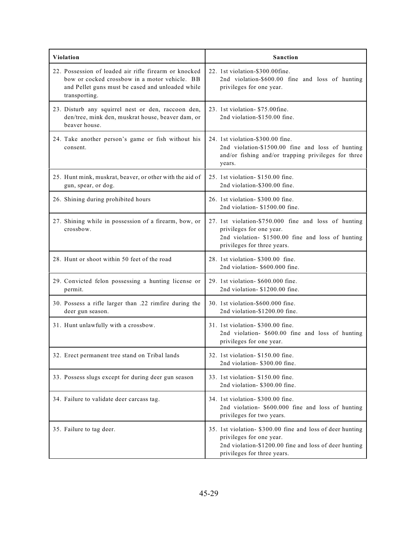| <b>Violation</b>                                                                                                                                                            | <b>Sanction</b>                                                                                                                                                               |
|-----------------------------------------------------------------------------------------------------------------------------------------------------------------------------|-------------------------------------------------------------------------------------------------------------------------------------------------------------------------------|
| 22. Possession of loaded air rifle firearm or knocked<br>bow or cocked crossbow in a motor vehicle. BB<br>and Pellet guns must be cased and unloaded while<br>transporting. | 22. 1st violation-\$300.00fine.<br>2nd violation-\$600.00 fine and loss of hunting<br>privileges for one year.                                                                |
| 23. Disturb any squirrel nest or den, raccoon den,<br>den/tree, mink den, muskrat house, beaver dam, or<br>beaver house.                                                    | 23. 1st violation - \$75.00fine.<br>2nd violation-\$150.00 fine.                                                                                                              |
| 24. Take another person's game or fish without his<br>consent.                                                                                                              | 24. 1st violation-\$300.00 fine.<br>2nd violation-\$1500.00 fine and loss of hunting<br>and/or fishing and/or trapping privileges for three<br>years.                         |
| 25. Hunt mink, muskrat, beaver, or other with the aid of<br>gun, spear, or dog.                                                                                             | 25. 1st violation- \$150.00 fine.<br>2nd violation-\$300.00 fine.                                                                                                             |
| 26. Shining during prohibited hours                                                                                                                                         | 26. 1st violation- \$300.00 fine.<br>2nd violation-\$1500.00 fine.                                                                                                            |
| 27. Shining while in possession of a firearm, bow, or<br>crossbow.                                                                                                          | 27. 1st violation-\$750.000 fine and loss of hunting<br>privileges for one year.<br>2nd violation- \$1500.00 fine and loss of hunting<br>privileges for three years.          |
| 28. Hunt or shoot within 50 feet of the road                                                                                                                                | 28. 1st violation- \$300.00 fine.<br>2nd violation- \$600.000 fine.                                                                                                           |
| 29. Convicted felon possessing a hunting license or<br>permit.                                                                                                              | 29. 1st violation- \$600.000 fine.<br>2nd violation-\$1200.00 fine.                                                                                                           |
| 30. Possess a rifle larger than .22 rimfire during the<br>deer gun season.                                                                                                  | 30. 1st violation-\$600.000 fine.<br>2nd violation-\$1200.00 fine.                                                                                                            |
| 31. Hunt unlawfully with a crossbow.                                                                                                                                        | 31. 1st violation- \$300.00 fine.<br>2nd violation- \$600.00 fine and loss of hunting<br>privileges for one year.                                                             |
| 32. Erect permanent tree stand on Tribal lands                                                                                                                              | 32. 1st violation- \$150.00 fine.<br>2nd violation- \$300.00 fine.                                                                                                            |
| 33. Possess slugs except for during deer gun season                                                                                                                         | 33. 1st violation- \$150.00 fine.<br>2nd violation- \$300.00 fine.                                                                                                            |
| 34. Failure to validate deer carcass tag.                                                                                                                                   | 34. 1st violation- \$300.00 fine.<br>2nd violation- \$600.000 fine and loss of hunting<br>privileges for two years.                                                           |
| 35. Failure to tag deer.                                                                                                                                                    | 35. 1st violation- \$300.00 fine and loss of deer hunting<br>privileges for one year.<br>2nd violation-\$1200.00 fine and loss of deer hunting<br>privileges for three years. |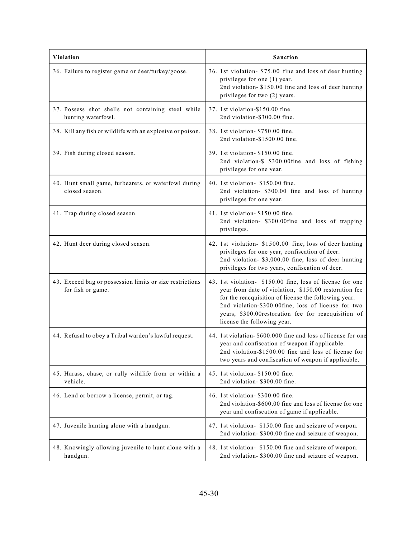| <b>Violation</b>                                                              | <b>Sanction</b>                                                                                                                                                                                                                                                                                                         |
|-------------------------------------------------------------------------------|-------------------------------------------------------------------------------------------------------------------------------------------------------------------------------------------------------------------------------------------------------------------------------------------------------------------------|
| 36. Failure to register game or deer/turkey/goose.                            | 36. 1st violation- \$75.00 fine and loss of deer hunting<br>privileges for one (1) year.<br>2nd violation- \$150.00 fine and loss of deer hunting<br>privileges for two (2) years.                                                                                                                                      |
| 37. Possess shot shells not containing steel while<br>hunting waterfowl.      | 37. 1st violation-\$150.00 fine.<br>2nd violation-\$300.00 fine.                                                                                                                                                                                                                                                        |
| 38. Kill any fish or wildlife with an explosive or poison.                    | 38. 1st violation- \$750.00 fine.<br>2nd violation-\$1500.00 fine.                                                                                                                                                                                                                                                      |
| 39. Fish during closed season.                                                | 39. 1st violation- \$150.00 fine.<br>2nd violation-\$ \$300.00fine and loss of fishing<br>privileges for one year.                                                                                                                                                                                                      |
| 40. Hunt small game, furbearers, or waterfowl during<br>closed season.        | 40. 1st violation- \$150.00 fine.<br>2nd violation- \$300.00 fine and loss of hunting<br>privileges for one year.                                                                                                                                                                                                       |
| 41. Trap during closed season.                                                | 41. 1st violation- \$150.00 fine.<br>2nd violation- \$300.00fine and loss of trapping<br>privileges.                                                                                                                                                                                                                    |
| 42. Hunt deer during closed season.                                           | 42. 1st violation- \$1500.00 fine, loss of deer hunting<br>privileges for one year, confiscation of deer.<br>2nd violation- \$3,000.00 fine, loss of deer hunting<br>privileges for two years, confiscation of deer.                                                                                                    |
| 43. Exceed bag or possession limits or size restrictions<br>for fish or game. | 43. 1st violation- \$150.00 fine, loss of license for one<br>year from date of violation, \$150.00 restoration fee<br>for the reacquisition of license the following year.<br>2nd violation-\$300.00fine, loss of license for two<br>years, \$300.00restoration fee for reacquisition of<br>license the following year. |
| 44. Refusal to obey a Tribal warden's lawful request.                         | 44. 1st violation-\$600.000 fine and loss of license for one<br>year and confiscation of weapon if applicable.<br>2nd violation-\$1500.00 fine and loss of license for<br>two years and confiscation of weapon if applicable.                                                                                           |
| 45. Harass, chase, or rally wildlife from or within a<br>vehicle.             | 45. 1st violation- \$150.00 fine.<br>2nd violation- \$300.00 fine.                                                                                                                                                                                                                                                      |
| 46. Lend or borrow a license, permit, or tag.                                 | 46. 1st violation- \$300.00 fine.<br>2nd violation-\$600.00 fine and loss of license for one<br>year and confiscation of game if applicable.                                                                                                                                                                            |
| 47. Juvenile hunting alone with a handgun.                                    | 47. 1st violation- \$150.00 fine and seizure of weapon.<br>2nd violation- \$300.00 fine and seizure of weapon.                                                                                                                                                                                                          |
| 48. Knowingly allowing juvenile to hunt alone with a<br>handgun.              | 48. 1st violation- \$150.00 fine and seizure of weapon.<br>2nd violation- \$300.00 fine and seizure of weapon.                                                                                                                                                                                                          |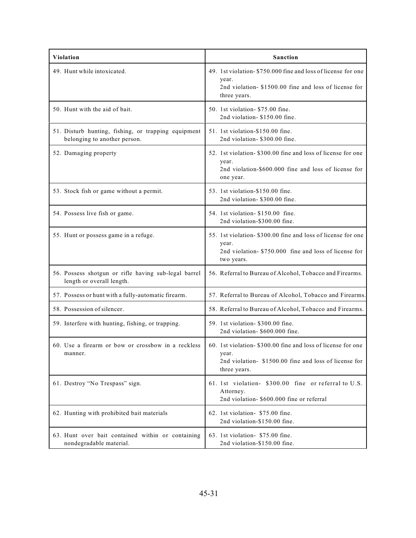| Violation                                                                           | <b>Sanction</b>                                                                                                                               |
|-------------------------------------------------------------------------------------|-----------------------------------------------------------------------------------------------------------------------------------------------|
| 49. Hunt while intoxicated.                                                         | 49. 1st violation-\$750.000 fine and loss of license for one<br>year.<br>2nd violation-\$1500.00 fine and loss of license for<br>three years. |
| 50. Hunt with the aid of bait.                                                      | 50. 1st violation- \$75.00 fine.<br>2nd violation- \$150.00 fine.                                                                             |
| 51. Disturb hunting, fishing, or trapping equipment<br>belonging to another person. | 51. 1st violation-\$150.00 fine.<br>2nd violation- \$300.00 fine.                                                                             |
| 52. Damaging property                                                               | 52. 1st violation-\$300.00 fine and loss of license for one<br>year.<br>2nd violation-\$600.000 fine and loss of license for<br>one year.     |
| 53. Stock fish or game without a permit.                                            | 53. 1st violation-\$150.00 fine.<br>2nd violation- \$300.00 fine.                                                                             |
| 54. Possess live fish or game.                                                      | 54. 1st violation- \$150.00 fine.<br>2nd violation-\$300.00 fine.                                                                             |
| 55. Hunt or possess game in a refuge.                                               | 55. 1st violation- \$300.00 fine and loss of license for one<br>year.<br>2nd violation- \$750,000 fine and loss of license for<br>two years.  |
| 56. Possess shotgun or rifle having sub-legal barrel<br>length or overall length.   | 56. Referral to Bureau of Alcohol, Tobacco and Firearms.                                                                                      |
| 57. Possess or hunt with a fully-automatic firearm.                                 | 57. Referral to Bureau of Alcohol, Tobacco and Firearms.                                                                                      |
| 58. Possession of silencer.                                                         | 58. Referral to Bureau of Alcohol, Tobacco and Firearms.                                                                                      |
| 59. Interfere with hunting, fishing, or trapping.                                   | 59. 1st violation- \$300.00 fine.<br>2nd violation- \$600.000 fine.                                                                           |
| 60. Use a firearm or bow or crossbow in a reckless<br>manner.                       | 60. 1st violation-\$300.00 fine and loss of license for one<br>year.<br>2nd violation- \$1500.00 fine and loss of license for<br>three years. |
| 61. Destroy "No Trespass" sign.                                                     | 61. 1st violation- \$300.00 fine or referral to U.S.<br>Attorney.<br>2nd violation- \$600.000 fine or referral                                |
| 62. Hunting with prohibited bait materials                                          | 62. 1st violation- \$75.00 fine.<br>2nd violation-\$150.00 fine.                                                                              |
| 63. Hunt over bait contained within or containing<br>nondegradable material.        | 63. 1st violation- \$75.00 fine.<br>2nd violation-\$150.00 fine.                                                                              |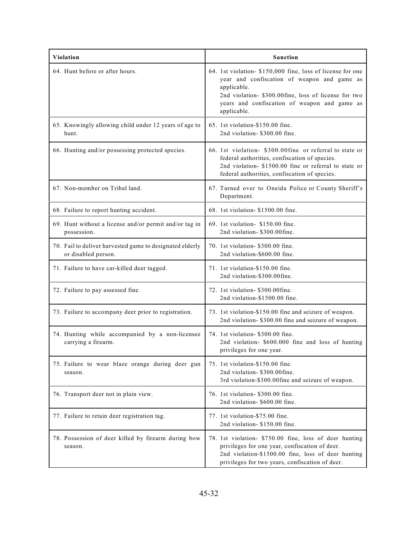| <b>Violation</b>                                                                | <b>Sanction</b>                                                                                                                                                                                                                                 |  |
|---------------------------------------------------------------------------------|-------------------------------------------------------------------------------------------------------------------------------------------------------------------------------------------------------------------------------------------------|--|
| 64. Hunt before or after hours.                                                 | 64. 1st violation- \$150,000 fine, loss of license for one<br>year and confiscation of weapon and game as<br>applicable.<br>2nd violation- \$300.00fine, loss of license for two<br>years and confiscation of weapon and game as<br>applicable. |  |
| 65. Knowingly allowing child under 12 years of age to<br>hunt.                  | 65. 1st violation-\$150.00 fine.<br>2nd violation- \$300.00 fine.                                                                                                                                                                               |  |
| 66. Hunting and/or possessing protected species.                                | 66. 1st violation- \$300.00fine or referral to state or<br>federal authorities, confiscation of species.<br>2nd violation- \$1500.00 fine or referral to state or<br>federal authorities, confiscation of species.                              |  |
| 67. Non-member on Tribal land.                                                  | 67. Turned over to Oneida Police or County Sheriff's<br>Department.                                                                                                                                                                             |  |
| 68. Failure to report hunting accident.                                         | 68. 1st violation- \$1500.00 fine.                                                                                                                                                                                                              |  |
| 69. Hunt without a license and/or permit and/or tag in<br>possession.           | 69. 1st violation- \$150.00 fine.<br>2nd violation- \$300.00fine.                                                                                                                                                                               |  |
| 70. Fail to deliver harvested game to designated elderly<br>or disabled person. | 70. 1st violation- \$300.00 fine.<br>2nd violation-\$600.00 fine.                                                                                                                                                                               |  |
| 71. Failure to have car-killed deer tagged.                                     | 71. 1st violation-\$150.00 fine.<br>2nd violation-\$300.00fine.                                                                                                                                                                                 |  |
| 72. Failure to pay assessed fine.                                               | 72. 1st violation- \$300.00fine.<br>2nd violation-\$1500.00 fine.                                                                                                                                                                               |  |
| 73. Failure to accompany deer prior to registration.                            | 73. 1st violation-\$150.00 fine and seizure of weapon.<br>2nd violation- \$300.00 fine and seizure of weapon.                                                                                                                                   |  |
| 74. Hunting while accompanied by a non-licensee<br>carrying a firearm.          | 74. 1st violation- \$300.00 fine.<br>2nd violation- \$600.000 fine and loss of hunting<br>privileges for one year.                                                                                                                              |  |
| 75. Failure to wear blaze orange during deer gun<br>season.                     | 75. 1st violation-\$150.00 fine.<br>2nd violation- \$300.00fine.<br>3rd violation-\$300.00fine and seizure of weapon.                                                                                                                           |  |
| 76. Transport deer not in plain view.                                           | 76. 1st violation- \$300.00 fine.<br>2nd violation- \$600.00 fine.                                                                                                                                                                              |  |
| 77. Failure to retain deer registration tag.                                    | 77. 1st violation-\$75.00 fine.<br>2nd violation-\$150.00 fine.                                                                                                                                                                                 |  |
| 78. Possession of deer killed by firearm during bow<br>season.                  | 78. 1st violation- \$750.00 fine, loss of deer hunting<br>privileges for one year, confiscation of deer.<br>2nd violation-\$1500.00 fine, loss of deer hunting<br>privileges for two years, confiscation of deer.                               |  |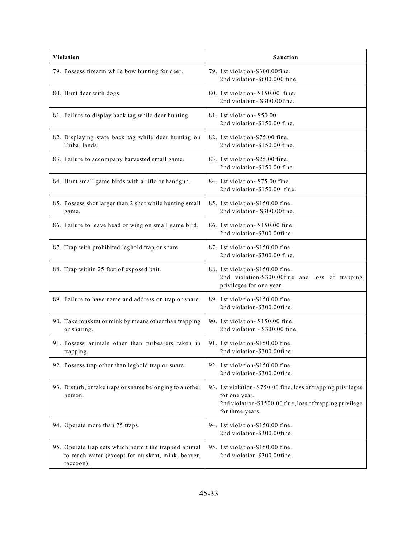| Violation                                                                                                               | Sanction                                                                                                                                                       |
|-------------------------------------------------------------------------------------------------------------------------|----------------------------------------------------------------------------------------------------------------------------------------------------------------|
| 79. Possess firearm while bow hunting for deer.                                                                         | 79. 1st violation-\$300.00fine.<br>2nd violation-\$600.000 fine.                                                                                               |
| 80. Hunt deer with dogs.                                                                                                | 80. 1st violation - \$150.00 fine.<br>2nd violation- \$300.00fine.                                                                                             |
| 81. Failure to display back tag while deer hunting.                                                                     | 81. 1st violation-\$50.00<br>2nd violation-\$150.00 fine.                                                                                                      |
| 82. Displaying state back tag while deer hunting on<br>Tribal lands.                                                    | 82. 1st violation-\$75.00 fine.<br>2nd violation-\$150.00 fine.                                                                                                |
| 83. Failure to accompany harvested small game.                                                                          | 83. 1st violation-\$25.00 fine.<br>2nd violation-\$150.00 fine.                                                                                                |
| 84. Hunt small game birds with a rifle or handgun.                                                                      | 84. 1st violation- \$75.00 fine.<br>2nd violation-\$150.00 fine.                                                                                               |
| 85. Possess shot larger than 2 shot while hunting small<br>game.                                                        | 85. 1st violation-\$150.00 fine.<br>2nd violation- \$300.00fine.                                                                                               |
| 86. Failure to leave head or wing on small game bird.                                                                   | 86. 1st violation- \$150.00 fine.<br>2nd violation-\$300.00fine.                                                                                               |
| 87. Trap with prohibited leghold trap or snare.                                                                         | 87. 1st violation-\$150.00 fine.<br>2nd violation-\$300.00 fine.                                                                                               |
| 88. Trap within 25 feet of exposed bait.                                                                                | 88. 1st violation-\$150.00 fine.<br>2nd violation-\$300.00fine and loss of trapping<br>privileges for one year.                                                |
| 89. Failure to have name and address on trap or snare.                                                                  | 89. 1st violation-\$150.00 fine.<br>2nd violation-\$300.00fine.                                                                                                |
| 90. Take muskrat or mink by means other than trapping<br>or snaring.                                                    | 90. 1st violation- \$150.00 fine.<br>2nd violation - \$300.00 fine.                                                                                            |
| 91. Possess animals other than furbearers taken in<br>trapping.                                                         | 91. 1st violation-\$150.00 fine.<br>2nd violation-\$300.00fine.                                                                                                |
| 92. Possess trap other than leghold trap or snare.                                                                      | 92. 1st violation-\$150.00 fine.<br>2nd violation-\$300.00fine.                                                                                                |
| 93. Disturb, or take traps or snares belonging to another<br>person.                                                    | 93. 1st violation- \$750.00 fine, loss of trapping privileges<br>for one year.<br>2nd violation-\$1500.00 fine, loss of trapping privilege<br>for three years. |
| 94. Operate more than 75 traps.                                                                                         | 94. 1st violation-\$150.00 fine.<br>2nd violation-\$300.00fine.                                                                                                |
| 95. Operate trap sets which permit the trapped animal<br>to reach water (except for muskrat, mink, beaver,<br>raccoon). | 95. 1st violation-\$150.00 fine.<br>2nd violation-\$300.00fine.                                                                                                |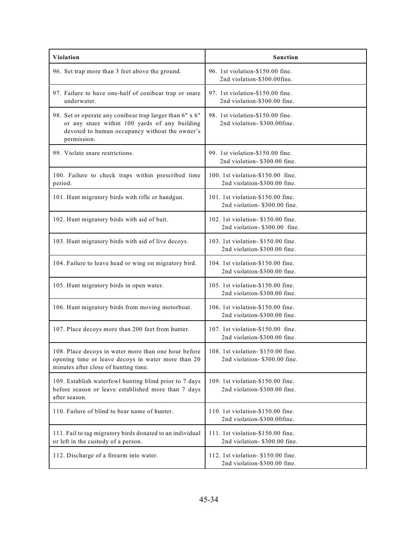| <b>Violation</b>                                                                                                                                                           | Sanction                                                             |
|----------------------------------------------------------------------------------------------------------------------------------------------------------------------------|----------------------------------------------------------------------|
| 96. Set trap more than 3 feet above the ground.                                                                                                                            | 96. 1st violation-\$150.00 fine.<br>2nd violation-\$300.00fine.      |
| 97. Failure to have one-half of conibear trap or snare<br>underwater.                                                                                                      | 97. 1st violation-\$150.00 fine.<br>2nd violation-\$300.00 fine.     |
| 98. Set or operate any conibear trap larger than 6" x 6"<br>or any snare within 100 yards of any building<br>devoted to human occupancy without the owner's<br>permission. | 98. 1st violation-\$150.00 fine.<br>2nd violation- \$300.00fine.     |
| 99. Violate snare restrictions.                                                                                                                                            | 99. 1st violation-\$150.00 fine.<br>2nd violation- \$300.00 fine.    |
| 100. Failure to check traps within prescribed time<br>period.                                                                                                              | 100. 1st violation-\$150.00 fine.<br>2nd violation-\$300.00 fine.    |
| 101. Hunt migratory birds with rifle or handgun.                                                                                                                           | 101. 1st violation-\$150.00 fine.<br>2nd violation- \$300.00 fine.   |
| 102. Hunt migratory birds with aid of bait.                                                                                                                                | 102. 1st violation- \$150.00 fine.<br>2nd violation-\$300.00 fine.   |
| 103. Hunt migratory birds with aid of live decoys.                                                                                                                         | 103. 1st violation- \$150.00 fine.<br>2nd violation-\$300.00 fine.   |
| 104. Failure to leave head or wing on migratory bird.                                                                                                                      | 104. 1st violation-\$150.00 fine.<br>2nd violation-\$300.00 fine.    |
| 105. Hunt migratory birds in open water.                                                                                                                                   | 105. 1st violation-\$150.00 fine.<br>2nd violation-\$300.00 fine.    |
| 106. Hunt migratory birds from moving motorboat.                                                                                                                           | 106. 1st violation-\$150.00 fine.<br>2nd violation-\$300.00 fine.    |
| 107. Place decoys more than 200 feet from hunter.                                                                                                                          | 107. 1st violation-\$150.00 fine.<br>2nd violation-\$300.00 fine.    |
| 108. Place decoys in water more than one hour before<br>opening time or leave decoys in water more than 20<br>minutes after close of hunting time.                         | 108. 1st violation - \$150.00 fine.<br>2nd violation- \$300.00 fine. |
| 109. Establish waterfowl hunting blind prior to 7 days<br>before season or leave established more than 7 days<br>after season.                                             | 109. 1st violation-\$150.00 fine.<br>2nd violation-\$300.00 fine.    |
| 110. Failure of blind to bear name of hunter.                                                                                                                              | 110. 1st violation-\$150.00 fine.<br>2nd violation-\$300.00fine.     |
| 111. Fail to tag migratory birds donated to an individual<br>or left in the custody of a person.                                                                           | 111. 1st violation-\$150.00 fine.<br>2nd violation- \$300.00 fine.   |
| 112. Discharge of a firearm into water.                                                                                                                                    | 112. 1st violation- \$150.00 fine.<br>2nd violation-\$300.00 fine.   |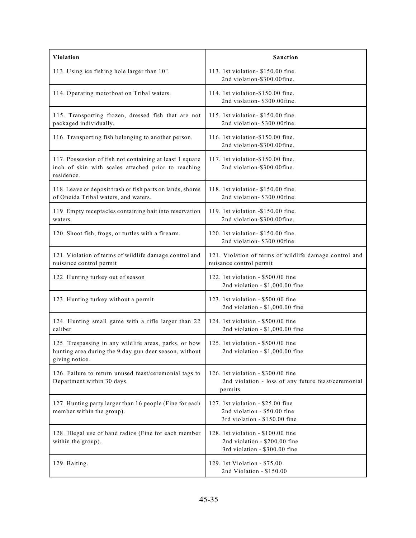| Violation                                                                                                                         | Sanction                                                                                             |
|-----------------------------------------------------------------------------------------------------------------------------------|------------------------------------------------------------------------------------------------------|
| 113. Using ice fishing hole larger than 10".                                                                                      | 113. 1st violation- \$150.00 fine.<br>2nd violation-\$300.00fine.                                    |
| 114. Operating motorboat on Tribal waters.                                                                                        | 114. 1st violation-\$150.00 fine.<br>2nd violation- \$300.00fine.                                    |
| 115. Transporting frozen, dressed fish that are not<br>packaged individually.                                                     | 115. 1st violation - \$150.00 fine.<br>2nd violation- \$300.00fine.                                  |
| 116. Transporting fish belonging to another person.                                                                               | 116. 1st violation-\$150.00 fine.<br>2nd violation-\$300.00fine.                                     |
| 117. Possession of fish not containing at least 1 square<br>inch of skin with scales attached prior to reaching<br>residence.     | 117. 1st violation-\$150.00 fine.<br>2nd violation-\$300.00fine.                                     |
| 118. Leave or deposit trash or fish parts on lands, shores<br>of Oneida Tribal waters, and waters.                                | 118. 1st violation- \$150.00 fine.<br>2nd violation- \$300.00fine.                                   |
| 119. Empty receptacles containing bait into reservation<br>waters.                                                                | 119. 1st violation -\$150.00 fine.<br>2nd violation-\$300.00fine.                                    |
| 120. Shoot fish, frogs, or turtles with a firearm.                                                                                | 120. 1st violation- \$150.00 fine.<br>2nd violation- \$300.00fine.                                   |
| 121. Violation of terms of wildlife damage control and<br>nuisance control permit                                                 | 121. Violation of terms of wildlife damage control and<br>nuisance control permit                    |
| 122. Hunting turkey out of season                                                                                                 | 122. 1st violation - \$500.00 fine<br>2nd violation - \$1,000.00 fine                                |
| 123. Hunting turkey without a permit                                                                                              | 123. 1st violation - \$500.00 fine<br>2nd violation - \$1,000.00 fine                                |
| 124. Hunting small game with a rifle larger than 22<br>caliber                                                                    | 124. 1st violation - \$500.00 fine<br>2nd violation - \$1,000.00 fine                                |
| 125. Trespassing in any wildlife areas, parks, or bow<br>hunting area during the 9 day gun deer season, without<br>giving notice. | 125. 1st violation - \$500.00 fine<br>2nd violation - \$1,000.00 fine                                |
| 126. Failure to return unused feast/ceremonial tags to<br>Department within 30 days.                                              | 126. 1st violation - \$300.00 fine<br>2nd violation - loss of any future feast/ceremonial<br>permits |
| 127. Hunting party larger than 16 people (Fine for each<br>member within the group).                                              | 127. 1st violation - \$25.00 fine<br>2nd violation - \$50.00 fine<br>3rd violation - \$150.00 fine   |
| 128. Illegal use of hand radios (Fine for each member<br>within the group).                                                       | 128. 1st violation - \$100.00 fine<br>2nd violation - \$200.00 fine<br>3rd violation - \$300.00 fine |
| 129. Baiting.                                                                                                                     | 129. 1st Violation - \$75.00<br>2nd Violation - \$150.00                                             |